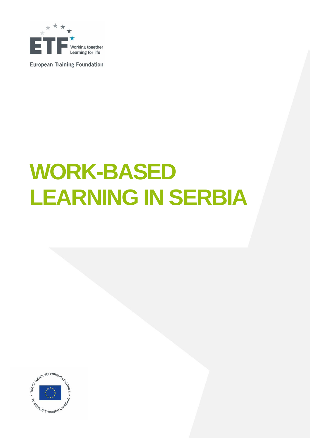

**European Training Foundation** 

# **WORK-BASED LEARNING IN SERBIA**

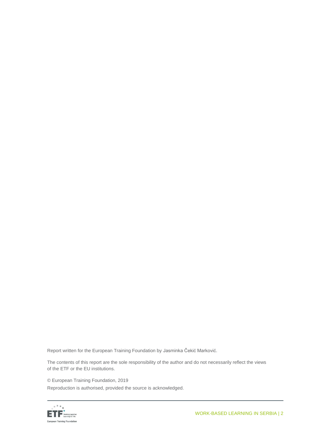Report written for the European Training Foundation by Jasminka Čekić Marković.

The contents of this report are the sole responsibility of the author and do not necessarily reflect the views of the ETF or the EU institutions.

© European Training Foundation, 2019 Reproduction is authorised, provided the source is acknowledged.

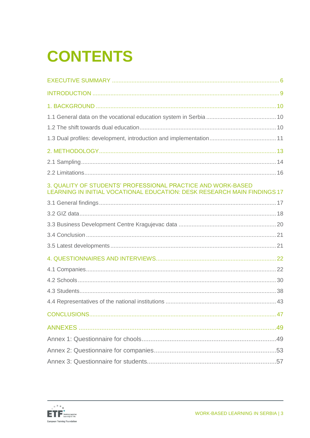# **CONTENTS**

| 3. QUALITY OF STUDENTS' PROFESSIONAL PRACTICE AND WORK-BASED<br>LEARNING IN INITIAL VOCATIONAL EDUCATION: DESK RESEARCH MAIN FINDINGS 17 |  |
|------------------------------------------------------------------------------------------------------------------------------------------|--|
|                                                                                                                                          |  |
|                                                                                                                                          |  |
|                                                                                                                                          |  |
|                                                                                                                                          |  |
|                                                                                                                                          |  |
|                                                                                                                                          |  |
|                                                                                                                                          |  |
|                                                                                                                                          |  |
|                                                                                                                                          |  |
|                                                                                                                                          |  |
|                                                                                                                                          |  |
|                                                                                                                                          |  |
|                                                                                                                                          |  |
|                                                                                                                                          |  |
|                                                                                                                                          |  |

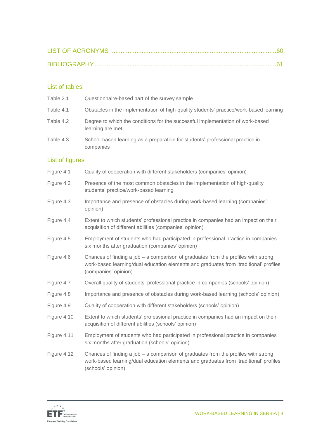#### List of tables

| Table 2.1              | Questionnaire-based part of the survey sample                                                                                                                                                         |
|------------------------|-------------------------------------------------------------------------------------------------------------------------------------------------------------------------------------------------------|
| Table 4.1              | Obstacles in the implementation of high-quality students' practice/work-based learning                                                                                                                |
| Table 4.2              | Degree to which the conditions for the successful implementation of work-based<br>learning are met                                                                                                    |
| Table 4.3              | School-based learning as a preparation for students' professional practice in<br>companies                                                                                                            |
| <b>List of figures</b> |                                                                                                                                                                                                       |
| Figure 4.1             | Quality of cooperation with different stakeholders (companies' opinion)                                                                                                                               |
| Figure 4.2             | Presence of the most common obstacles in the implementation of high-quality<br>students' practice/work-based learning                                                                                 |
| Figure 4.3             | Importance and presence of obstacles during work-based learning (companies'<br>opinion)                                                                                                               |
| Figure 4.4             | Extent to which students' professional practice in companies had an impact on their<br>acquisition of different abilities (companies' opinion)                                                        |
| Figure 4.5             | Employment of students who had participated in professional practice in companies<br>six months after graduation (companies' opinion)                                                                 |
| Figure 4.6             | Chances of finding a job $-$ a comparison of graduates from the profiles with strong<br>work-based learning/dual education elements and graduates from 'traditional' profiles<br>(companies' opinion) |
| Figure 4.7             | Overall quality of students' professional practice in companies (schools' opinion)                                                                                                                    |
| Figure 4.8             | Importance and presence of obstacles during work-based learning (schools' opinion)                                                                                                                    |
| Figure 4.9             | Quality of cooperation with different stakeholders (schools' opinion)                                                                                                                                 |
| Figure 4.10            | Extent to which students' professional practice in companies had an impact on their<br>acquisition of different abilities (schools' opinion)                                                          |
| Figure 4.11            | Employment of students who had participated in professional practice in companies<br>six months after graduation (schools' opinion)                                                                   |
| Figure 4.12            | Chances of finding a job $-$ a comparison of graduates from the profiles with strong<br>work-based learning/dual education elements and graduates from 'traditional' profiles<br>(schools' opinion)   |

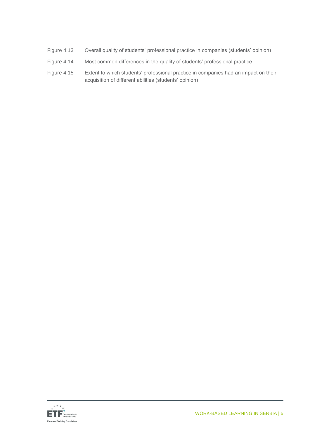- Figure 4.13 Overall quality of students' professional practice in companies (students' opinion)
- Figure 4.14 Most common differences in the quality of students' professional practice
- Figure 4.15 Extent to which students' professional practice in companies had an impact on their acquisition of different abilities (students' opinion)

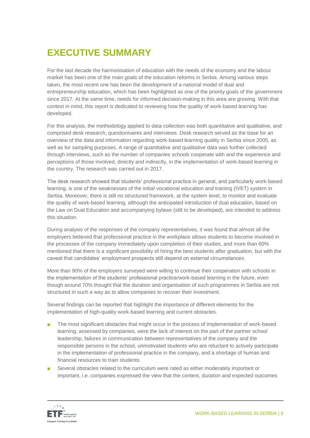# <span id="page-5-0"></span>**EXECUTIVE SUMMARY**

For the last decade the harmonisation of education with the needs of the economy and the labour market has been one of the main goals of the education reforms in Serbia. Among various steps taken, the most recent one has been the development of a national model of dual and entrepreneurship education, which has been highlighted as one of the priority goals of the government since 2017. At the same time, needs for informed decision-making in this area are growing. With that context in mind, this report is dedicated to reviewing how the quality of work-based learning has developed.

For this analysis, the methodology applied to data collection was both quantitative and qualitative, and comprised desk research, questionnaires and interviews. Desk research served as the base for an overview of the data and information regarding work-based learning quality in Serbia since 2005, as well as for sampling purposes. A range of quantitative and qualitative data was further collected through interviews, such as the number of companies schools cooperate with and the experience and perceptions of those involved, directly and indirectly, in the implementation of work-based learning in the country. The research was carried out in 2017.

The desk research showed that students' professional practice in general, and particularly work-based learning, is one of the weaknesses of the initial vocational education and training (IVET) system in Serbia. Moreover, there is still no structured framework, at the system level, to monitor and evaluate the quality of work-based learning, although the anticipated introduction of dual education, based on the Law on Dual Education and accompanying bylaws (still to be developed), are intended to address this situation.

During analysis of the responses of the company representatives, it was found that almost all the employers believed that professional practice in the workplace allows students to become involved in the processes of the company immediately upon completion of their studies, and more than 60% mentioned that there is a significant possibility of hiring the best students after graduation, but with the caveat that candidates' employment prospects still depend on external circumstances.

More than 90% of the employers surveyed were willing to continue their cooperation with schools in the implementation of the students' professional practice/work-based learning in the future, even though around 70% thought that the duration and organisation of such programmes in Serbia are not structured in such a way as to allow companies to recover their investment.

Several findings can be reported that highlight the importance of different elements for the implementation of high-quality work-based learning and current obstacles.

- The most significant obstacles that might occur in the process of implementation of work-based learning, assessed by companies, were the lack of interest on the part of the partner school leadership, failures in communication between representatives of the company and the responsible persons in the school, unmotivated students who are reluctant to actively participate in the implementation of professional practice in the company, and a shortage of human and financial resources to train students.
- Several obstacles related to the curriculum were rated as either moderately important or important, i.e. companies expressed the view that the content, duration and expected outcomes

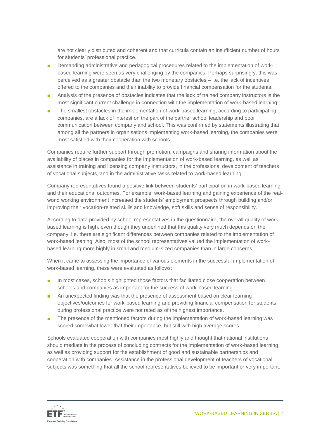are not clearly distributed and coherent and that curricula contain an insufficient number of hours for students' professional practice.

- Demanding administrative and pedagogical procedures related to the implementation of workbased learning were seen as very challenging by the companies. Perhaps surprisingly, this was perceived as a greater obstacle than the two monetary obstacles – i.e. the lack of incentives offered to the companies and their inability to provide financial compensation for the students.
- Analysis of the presence of obstacles indicates that the lack of trained company instructors is the most significant current challenge in connection with the implementation of work-based learning.
- The smallest obstacles in the implementation of work-based learning, according to participating companies, are a lack of interest on the part of the partner school leadership and poor communication between company and school. This was confirmed by statements illustrating that among all the partners in organisations implementing work-based learning, the companies were most satisfied with their cooperation with schools.

Companies require further support through promotion, campaigns and sharing information about the availability of places in companies for the implementation of work-based learning, as well as assistance in training and licensing company instructors, in the professional development of teachers of vocational subjects, and in the administrative tasks related to work-based learning.

Company representatives found a positive link between students' participation in work-based learning and their educational outcomes. For example, work-based learning and gaining experience of the realworld working environment increased the students' employment prospects through building and/or improving their vocation-related skills and knowledge, soft skills and sense of responsibility.

According to data provided by school representatives in the questionnaire, the overall quality of workbased learning is high, even though they underlined that this quality very much depends on the company, i.e. there are significant differences between companies related to the implementation of work-based leaning. Also, most of the school representatives valued the implementation of workbased learning more highly in small and medium-sized companies than in large concerns.

When it came to assessing the importance of various elements in the successful implementation of work-based learning, these were evaluated as follows:

- In most cases, schools highlighted those factors that facilitated close cooperation between schools and companies as important for the success of work-based learning.
- An unexpected finding was that the presence of assessment based on clear learning objectives/outcomes for work-based learning and providing financial compensation for students during professional practice were not rated as of the highest importance.
- The presence of the mentioned factors during the implementation of work-based learning was scored somewhat lower that their importance, but still with high average scores.

Schools evaluated cooperation with companies most highly and thought that national institutions should mediate in the process of concluding contracts for the implementation of work-based learning, as well as providing support for the establishment of good and sustainable partnerships and cooperation with companies. Assistance in the professional development of teachers of vocational subjects was something that all the school representatives believed to be important or very important.

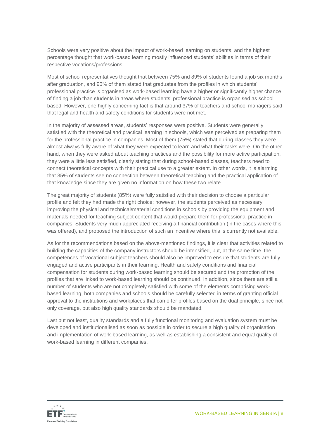Schools were very positive about the impact of work-based learning on students, and the highest percentage thought that work-based learning mostly influenced students' abilities in terms of their respective vocations/professions.

Most of school representatives thought that between 75% and 89% of students found a job six months after graduation, and 90% of them stated that graduates from the profiles in which students' professional practice is organised as work-based learning have a higher or significantly higher chance of finding a job than students in areas where students' professional practice is organised as school based. However, one highly concerning fact is that around 37% of teachers and school managers said that legal and health and safety conditions for students were not met.

In the majority of assessed areas, students' responses were positive. Students were generally satisfied with the theoretical and practical learning in schools, which was perceived as preparing them for the professional practice in companies. Most of them (75%) stated that during classes they were almost always fully aware of what they were expected to learn and what their tasks were. On the other hand, when they were asked about teaching practices and the possibility for more active participation, they were a little less satisfied, clearly stating that during school-based classes, teachers need to connect theoretical concepts with their practical use to a greater extent. In other words, it is alarming that 35% of students see no connection between theoretical teaching and the practical application of that knowledge since they are given no information on how these two relate.

The great majority of students (85%) were fully satisfied with their decision to choose a particular profile and felt they had made the right choice; however, the students perceived as necessary improving the physical and technical/material conditions in schools by providing the equipment and materials needed for teaching subject content that would prepare them for professional practice in companies. Students very much appreciated receiving a financial contribution (in the cases where this was offered), and proposed the introduction of such an incentive where this is currently not available.

As for the recommendations based on the above-mentioned findings, it is clear that activities related to building the capacities of the company instructors should be intensified, but, at the same time, the competences of vocational subject teachers should also be improved to ensure that students are fully engaged and active participants in their learning. Health and safety conditions and financial compensation for students during work-based learning should be secured and the promotion of the profiles that are linked to work-based learning should be continued. In addition, since there are still a number of students who are not completely satisfied with some of the elements comprising workbased learning, both companies and schools should be carefully selected in terms of granting official approval to the institutions and workplaces that can offer profiles based on the dual principle, since not only coverage, but also high quality standards should be mandated.

Last but not least, quality standards and a fully functional monitoring and evaluation system must be developed and institutionalised as soon as possible in order to secure a high quality of organisation and implementation of work-based learning, as well as establishing a consistent and equal quality of work-based learning in different companies.

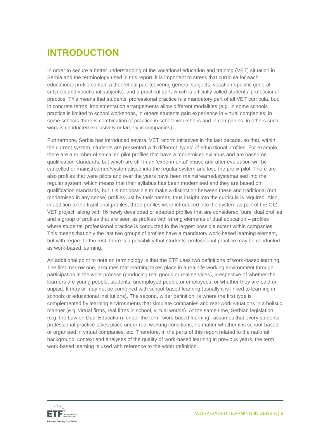# <span id="page-8-0"></span>**INTRODUCTION**

In order to secure a better understanding of the vocational education and training (VET) situation in Serbia and the terminology used in this report, it is important to stress that curricula for each educational profile contain a theoretical part (covering general subjects, vocation-specific general subjects and vocational subjects), and a practical part, which is officially called students' professional practice. This means that students' professional practice is a mandatory part of all VET curricula, but, in concrete terms, implementation arrangements allow different modalities (e.g. in some schools practice is limited to school workshops, in others students gain experience in virtual companies; in some schools there is combination of practice in school workshops and in companies, in others such work is conducted exclusively or largely in companies).

Furthermore, Serbia has introduced several VET reform initiatives in the last decade, so that, within the current system, students are presented with different 'types' of educational profiles. For example, there are a number of so-called pilot profiles that have a modernised syllabus and are based on qualification standards, but which are still in an 'experimental' phase and after evaluation will be cancelled or mainstreamed/systematised into the regular system and lose the prefix pilot. There are also profiles that were pilots and over the years have been mainstreamed/systematised into the regular system, which means that their syllabus has been modernised and they are based on qualification standards, but it is not possible to make a distinction between these and traditional (not modernised in any sense) profiles just by their names, thus insight into the curricula is required. Also, in addition to the traditional profiles, three profiles were introduced into the system as part of the GIZ VET project, along with 16 newly developed or adapted profiles that are considered 'pure' dual profiles and a group of profiles that are seen as profiles with strong elements of dual education – profiles where students' professional practice is conducted to the largest possible extent within companies. This means that only the last two groups of profiles have a mandatory work-based learning element, but with regard to the rest, there is a possibility that students' professional practice may be conducted as work-based learning.

An additional point to note on terminology is that the ETF uses two definitions of work-based learning. The first, narrow one, assumes that learning takes place in a real-life working environment through participation in the work process (producing real goods or real services), irrespective of whether the learners are young people, students, unemployed people or employees, or whether they are paid or unpaid. It may or may not be combined with school-based learning (usually it is linked to learning in schools or educational institutions). The second, wider definition, is where the first type is complemented by learning environments that simulate companies and real-work situations in a holistic manner (e.g. virtual firms, real firms in school, virtual worlds). At the same time, Serbian legislation (e.g. the Law on Dual Education), under the term 'work-based learning', assumes that every students' professional practice takes place under real working conditions, no matter whether it is school-based or organised in virtual companies, etc. Therefore, in the parts of this report related to the national background, context and analyses of the quality of work-based learning in previous years, the term work-based learning is used with reference to the wider definition.

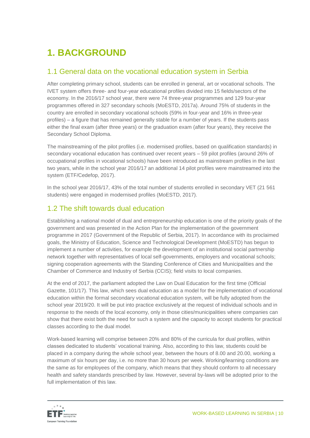# <span id="page-9-0"></span>**1. BACKGROUND**

### <span id="page-9-1"></span>1.1 General data on the vocational education system in Serbia

After completing primary school, students can be enrolled in general, art or vocational schools. The IVET system offers three- and four-year educational profiles divided into 15 fields/sectors of the economy. In the 2016/17 school year, there were 74 three-year programmes and 129 four-year programmes offered in 327 secondary schools (MoESTD, 2017a). Around 75% of students in the country are enrolled in secondary vocational schools (59% in four-year and 16% in three-year profiles) – a figure that has remained generally stable for a number of years. If the students pass either the final exam (after three years) or the graduation exam (after four years), they receive the Secondary School Diploma.

The mainstreaming of the pilot profiles (i.e. modernised profiles, based on qualification standards) in secondary vocational education has continued over recent years – 59 pilot profiles (around 26% of occupational profiles in vocational schools) have been introduced as mainstream profiles in the last two years, while in the school year 2016/17 an additional 14 pilot profiles were mainstreamed into the system (ETF/Cedefop, 2017).

In the school year 2016/17, 43% of the total number of students enrolled in secondary VET (21 561 students) were engaged in modernised profiles (MoESTD, 2017).

# <span id="page-9-2"></span>1.2 The shift towards dual education

Establishing a national model of dual and entrepreneurship education is one of the priority goals of the government and was presented in the Action Plan for the implementation of the government programme in 2017 (Government of the Republic of Serbia, 2017). In accordance with its proclaimed goals, the Ministry of Education, Science and Technological Development (MoESTD) has begun to implement a number of activities, for example the development of an institutional social partnership network together with representatives of local self-governments, employers and vocational schools; signing cooperation agreements with the Standing Conference of Cities and Municipalities and the Chamber of Commerce and Industry of Serbia (CCIS); field visits to local companies.

At the end of 2017, the parliament adopted the Law on Dual Education for the first time (Official Gazette, 101/17). This law, which sees dual education as a model for the implementation of vocational education within the formal secondary vocational education system, will be fully adopted from the school year 2019/20. It will be put into practice exclusively at the request of individual schools and in response to the needs of the local economy, only in those cities/municipalities where companies can show that there exist both the need for such a system and the capacity to accept students for practical classes according to the dual model.

Work-based learning will comprise between 20% and 80% of the curricula for dual profiles, within classes dedicated to students' vocational training. Also, according to this law, students could be placed in a company during the whole school year, between the hours of 8.00 and 20.00, working a maximum of six hours per day, i.e. no more than 30 hours per week. Working/learning conditions are the same as for employees of the company, which means that they should conform to all necessary health and safety standards prescribed by law. However, several by-laws will be adopted prior to the full implementation of this law.

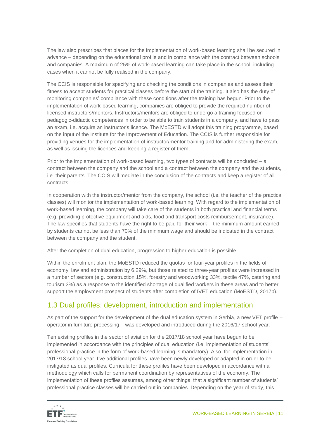The law also prescribes that places for the implementation of work-based learning shall be secured in advance – depending on the educational profile and in compliance with the contract between schools and companies. A maximum of 25% of work-based learning can take place in the school, including cases when it cannot be fully realised in the company.

The CCIS is responsible for specifying and checking the conditions in companies and assess their fitness to accept students for practical classes before the start of the training. It also has the duty of monitoring companies' compliance with these conditions after the training has begun. Prior to the implementation of work-based learning, companies are obliged to provide the required number of licensed instructors/mentors. Instructors/mentors are obliged to undergo a training focused on pedagogic-didactic competences in order to be able to train students in a company, and have to pass an exam, i.e. acquire an instructor's licence. The MoESTD will adopt this training programme, based on the input of the Institute for the Improvement of Education. The CCIS is further responsible for providing venues for the implementation of instructor/mentor training and for administering the exam, as well as issuing the licences and keeping a register of them.

Prior to the implementation of work-based learning, two types of contracts will be concluded – a contract between the company and the school and a contract between the company and the students, i.e. their parents. The CCIS will mediate in the conclusion of the contracts and keep a register of all contracts.

In cooperation with the instructor/mentor from the company, the school (i.e. the teacher of the practical classes) will monitor the implementation of work-based learning. With regard to the implementation of work-based learning, the company will take care of the students in both practical and financial terms (e.g. providing protective equipment and aids, food and transport costs reimbursement, insurance). The law specifies that students have the right to be paid for their work – the minimum amount earned by students cannot be less than 70% of the minimum wage and should be indicated in the contract between the company and the student.

After the completion of dual education, progression to higher education is possible.

Within the enrolment plan, the MoESTD reduced the quotas for four-year profiles in the fields of economy, law and administration by 6.29%, but those related to three-year profiles were increased in a number of sectors (e.g. construction 15%, forestry and woodworking 33%, textile 47%, catering and tourism 3%) as a response to the identified shortage of qualified workers in these areas and to better support the employment prospect of students after completion of IVET education (MoESTD, 2017b).

# <span id="page-10-0"></span>1.3 Dual profiles: development, introduction and implementation

As part of the support for the development of the dual education system in Serbia, a new VET profile – operator in furniture processing – was developed and introduced during the 2016/17 school year.

Ten existing profiles in the sector of aviation for the 2017/18 school year have begun to be implemented in accordance with the principles of dual education (i.e. implementation of students' professional practice in the form of work-based learning is mandatory). Also, for implementation in 2017/18 school year, five additional profiles have been newly developed or adapted in order to be instigated as dual profiles. Curricula for these profiles have been developed in accordance with a methodology which calls for permanent coordination by representatives of the economy. The implementation of these profiles assumes, among other things, that a significant number of students' professional practice classes will be carried out in companies. Depending on the year of study, this

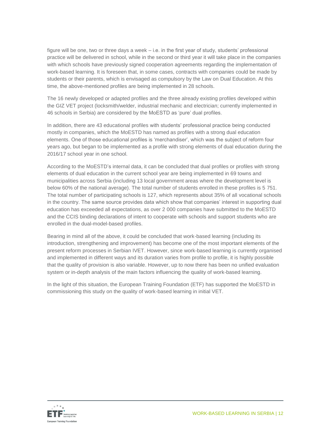figure will be one, two or three days a week – i.e. in the first year of study, students' professional practice will be delivered in school, while in the second or third year it will take place in the companies with which schools have previously signed cooperation agreements regarding the implementation of work-based learning. It is foreseen that, in some cases, contracts with companies could be made by students or their parents, which is envisaged as compulsory by the Law on Dual Education. At this time, the above-mentioned profiles are being implemented in 28 schools.

The 16 newly developed or adapted profiles and the three already existing profiles developed within the GIZ VET project (locksmith/welder, industrial mechanic and electrician; currently implemented in 46 schools in Serbia) are considered by the MoESTD as 'pure' dual profiles.

In addition, there are 43 educational profiles with students' professional practice being conducted mostly in companies, which the MoESTD has named as profiles with a strong dual education elements. One of those educational profiles is 'merchandiser', which was the subject of reform four years ago, but began to be implemented as a profile with strong elements of dual education during the 2016/17 school year in one school.

According to the MoESTD's internal data, it can be concluded that dual profiles or profiles with strong elements of dual education in the current school year are being implemented in 69 towns and municipalities across Serbia (including 13 local government areas where the development level is below 60% of the national average). The total number of students enrolled in these profiles is 5 751. The total number of participating schools is 127, which represents about 35% of all vocational schools in the country. The same source provides data which show that companies' interest in supporting dual education has exceeded all expectations, as over 2 000 companies have submitted to the MoESTD and the CCIS binding declarations of intent to cooperate with schools and support students who are enrolled in the dual-model-based profiles.

Bearing in mind all of the above, it could be concluded that work-based learning (including its introduction, strengthening and improvement) has become one of the most important elements of the present reform processes in Serbian IVET. However, since work-based learning is currently organised and implemented in different ways and its duration varies from profile to profile, it is highly possible that the quality of provision is also variable. However, up to now there has been no unified evaluation system or in-depth analysis of the main factors influencing the quality of work-based learning.

In the light of this situation, the European Training Foundation (ETF) has supported the MoESTD in commissioning this study on the quality of work-based learning in initial VET.

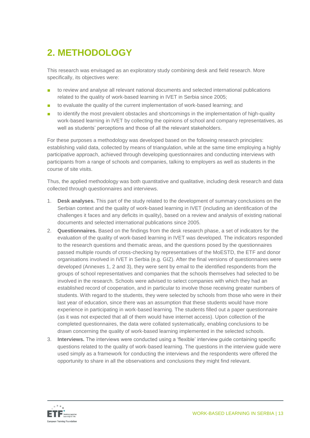# <span id="page-12-0"></span>**2. METHODOLOGY**

This research was envisaged as an exploratory study combining desk and field research. More specifically, its objectives were:

- to review and analyse all relevant national documents and selected international publications related to the quality of work-based learning in IVET in Serbia since 2005;
- to evaluate the quality of the current implementation of work-based learning; and
- to identify the most prevalent obstacles and shortcomings in the implementation of high-quality work-based learning in IVET by collecting the opinions of school and company representatives, as well as students' perceptions and those of all the relevant stakeholders.

For these purposes a methodology was developed based on the following research principles: establishing valid data, collected by means of triangulation, while at the same time employing a highly participative approach, achieved through developing questionnaires and conducting interviews with participants from a range of schools and companies, talking to employers as well as students in the course of site visits.

Thus, the applied methodology was both quantitative and qualitative, including desk research and data collected through questionnaires and interviews.

- 1. **Desk analyses.** This part of the study related to the development of summary conclusions on the Serbian context and the quality of work-based learning in IVET (including an identification of the challenges it faces and any deficits in quality), based on a review and analysis of existing national documents and selected international publications since 2005.
- 2. **Questionnaires.** Based on the findings from the desk research phase, a set of indicators for the evaluation of the quality of work-based learning in IVET was developed. The indicators responded to the research questions and thematic areas, and the questions posed by the questionnaires passed multiple rounds of cross-checking by representatives of the MoESTD, the ETF and donor organisations involved in IVET in Serbia (e.g. GIZ). After the final versions of questionnaires were developed (Annexes 1, 2 and 3), they were sent by email to the identified respondents from the groups of school representatives and companies that the schools themselves had selected to be involved in the research. Schools were advised to select companies with which they had an established record of cooperation, and in particular to involve those receiving greater numbers of students. With regard to the students, they were selected by schools from those who were in their last year of education, since there was an assumption that these students would have more experience in participating in work-based learning. The students filled out a paper questionnaire (as it was not expected that all of them would have internet access). Upon collection of the completed questionnaires, the data were collated systematically, enabling conclusions to be drawn concerning the quality of work-based learning implemented in the selected schools.
- 3. **Interviews.** The interviews were conducted using a 'flexible' interview guide containing specific questions related to the quality of work-based learning. The questions in the interview guide were used simply as a framework for conducting the interviews and the respondents were offered the opportunity to share in all the observations and conclusions they might find relevant.

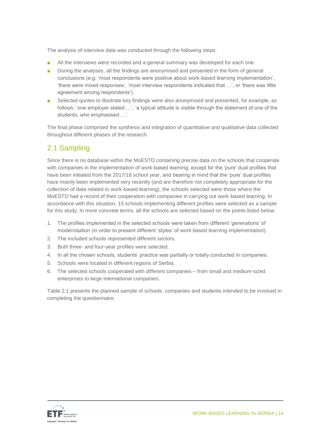The analysis of interview data was conducted through the following steps:

- All the interviews were recorded and a general summary was developed for each one.
- During the analyses, all the findings are anonymised and presented in the form of general conclusions (e.g. 'most respondents were positive about work-based learning implementation', 'there were mixed responses', 'most interview respondents indicated that …', or 'there was little agreement among respondents').
- Selected quotes to illustrate key findings were also anonymised and presented, for example, as follows: 'one employer stated …', 'a typical attitude is visible through the statement of one of the students, who emphasised …'.

The final phase comprised the synthesis and integration of quantitative and qualitative data collected throughout different phases of the research.

# <span id="page-13-0"></span>2.1 Sampling

Since there is no database within the MoESTD containing precise data on the schools that cooperate with companies in the implementation of work-based learning, except for the 'pure' dual profiles that have been initiated from the 2017/18 school year, and bearing in mind that the 'pure' dual profiles have mainly been implemented very recently (and are therefore not completely appropriate for the collection of data related to work-based learning), the schools selected were those where the MoESTD had a record of their cooperation with companies in carrying out work-based learning. In accordance with this situation, 15 schools implementing different profiles were selected as a sample for this study. In more concrete terms, all the schools are selected based on the points listed below.

- 1. The profiles implemented in the selected schools were taken from different 'generations' of modernisation (in order to present different 'styles' of work-based learning implementation).
- 2. The included schools represented different sectors.
- 3. Both three- and four-year profiles were selected.
- 4. In all the chosen schools, students' practice was partially or totally conducted in companies.
- 5. Schools were located in different regions of Serbia.
- 6. The selected schools cooperated with different companies from small and medium-sized enterprises to large international companies.

Table 2.1 presents the planned sample of schools, companies and students intended to be involved in completing the questionnaire.

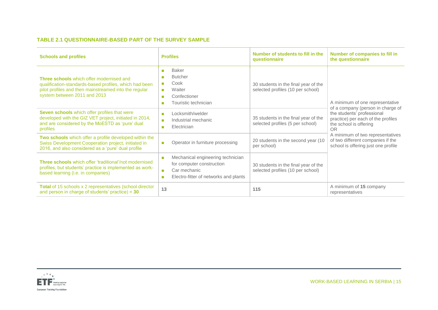#### **TABLE 2.1 QUESTIONNAIRE-BASED PART OF THE SURVEY SAMPLE**

| <b>Schools and profiles</b>                                                                                                                                                                 | <b>Profiles</b>                                                                                                                                                             | Number of students to fill in the<br>questionnaire                        | Number of companies to fill in<br>the questionnaire                                                                                          |
|---------------------------------------------------------------------------------------------------------------------------------------------------------------------------------------------|-----------------------------------------------------------------------------------------------------------------------------------------------------------------------------|---------------------------------------------------------------------------|----------------------------------------------------------------------------------------------------------------------------------------------|
| Three schools which offer modernised and<br>qualification-standards-based profiles, which had been<br>pilot profiles and then mainstreamed into the regular<br>system between 2011 and 2013 | <b>Baker</b><br>$\mathbf{r}$<br><b>Butcher</b><br>×<br>Cook<br><b>COL</b><br>Waiter<br>п<br>Confectioner<br>$\mathbf{r}$<br>Touristic technician<br>×                       | 30 students in the final year of the<br>selected profiles (10 per school) | A minimum of one representative                                                                                                              |
| Seven schools which offer profiles that were<br>developed with the GIZ VET project, initiated in 2014,<br>and are considered by the MoESTD as 'pure' dual<br>profiles                       | Locksmith/welder<br>$\mathbf{r}$<br>Industrial mechanic<br>$\blacksquare$<br>Electrician<br>$\mathcal{L}_{\mathcal{A}}$                                                     | 35 students in the final year of the<br>selected profiles (5 per school)  | of a company (person in charge of<br>the students' professional<br>practice) per each of the profiles<br>the school is offering<br><b>OR</b> |
| Two schools which offer a profile developed within the<br>Swiss Development Cooperation project, initiated in<br>2016, and also considered as a 'pure' dual profile                         | Operator in furniture processing<br>$\blacksquare$                                                                                                                          | 20 students in the second year (10<br>per school)                         | A minimum of two representatives<br>of two different companies if the<br>school is offering just one profile                                 |
| <b>Three schools</b> which offer 'traditional'/not modernised<br>profiles, but students' practice is implemented as work-<br>based learning (i.e. in companies)                             | Mechanical engineering technician<br>$\blacksquare$<br>for computer construction<br>Car mechanic<br>$\mathbf{r}$<br>Electro-fitter of networks and plants<br>$\blacksquare$ | 30 students in the final year of the<br>selected profiles (10 per school) |                                                                                                                                              |
| Total of 15 schools x 2 representatives (school director<br>and person in charge of students' practice) = $30$                                                                              | 13                                                                                                                                                                          | 115                                                                       | A minimum of 15 company<br>representatives                                                                                                   |

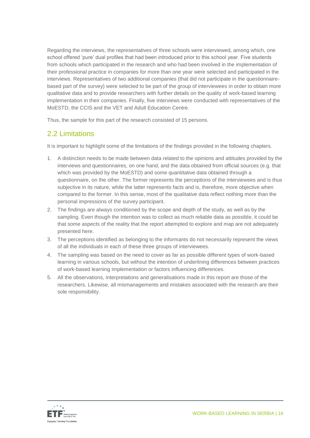Regarding the interviews, the representatives of three schools were interviewed, among which, one school offered 'pure' dual profiles that had been introduced prior to this school year. Five students from schools which participated in the research and who had been involved in the implementation of their professional practice in companies for more than one year were selected and participated in the interviews. Representatives of two additional companies (that did not participate in the questionnairebased part of the survey) were selected to be part of the group of interviewees in order to obtain more qualitative data and to provide researchers with further details on the quality of work-based learning implementation in their companies. Finally, five interviews were conducted with representatives of the MoESTD, the CCIS and the VET and Adult Education Centre.

Thus, the sample for this part of the research consisted of 15 persons.

### <span id="page-15-0"></span>2.2 Limitations

It is important to highlight some of the limitations of the findings provided in the following chapters.

- 1. A distinction needs to be made between data related to the opinions and attitudes provided by the interviews and questionnaires, on one hand, and the data obtained from official sources (e.g. that which was provided by the MoESTD) and some quantitative data obtained through a questionnaire, on the other. The former represents the perceptions of the interviewees and is thus subjective in its nature, while the latter represents facts and is, therefore, more objective when compared to the former. In this sense, most of the qualitative data reflect nothing more than the personal impressions of the survey participant.
- 2. The findings are always conditioned by the scope and depth of the study, as well as by the sampling. Even though the intention was to collect as much reliable data as possible, it could be that some aspects of the reality that the report attempted to explore and map are not adequately presented here.
- 3. The perceptions identified as belonging to the informants do not necessarily represent the views of all the individuals in each of these three groups of interviewees.
- 4. The sampling was based on the need to cover as far as possible different types of work-based learning in various schools, but without the intention of underlining differences between practices of work-based learning implementation or factors influencing differences.
- 5. All the observations, interpretations and generalisations made in this report are those of the researchers. Likewise, all mismanagements and mistakes associated with the research are their sole responsibility.

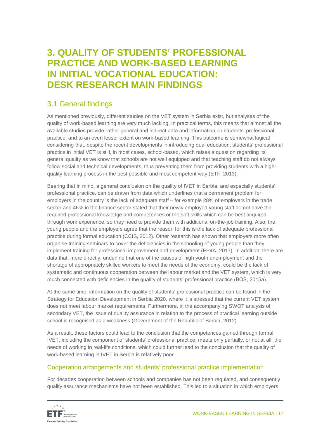# <span id="page-16-0"></span>**3. QUALITY OF STUDENTS' PROFESSIONAL PRACTICE AND WORK-BASED LEARNING IN INITIAL VOCATIONAL EDUCATION: DESK RESEARCH MAIN FINDINGS**

### <span id="page-16-1"></span>3.1 General findings

As mentioned previously, different studies on the VET system in Serbia exist, but analyses of the quality of work-based learning are very much lacking. In practical terms, this means that almost all the available studies provide rather general and indirect data and information on students' professional practice, and to an even lesser extent on work-based learning. This outcome is somewhat logical considering that, despite the recent developments in introducing dual education, students' professional practice in initial VET is still, in most cases, school-based, which raises a question regarding its general quality as we know that schools are not well equipped and that teaching staff do not always follow social and technical developments, thus preventing them from providing students with a highquality learning process in the best possible and most competent way (ETF, 2013).

Bearing that in mind, a general conclusion on the quality of IVET in Serbia, and especially students' professional practice, can be drawn from data which underlines that a permanent problem for employers in the country is the lack of adequate staff – for example 28% of employers in the trade sector and 46% in the finance sector stated that their newly employed young staff do not have the required professional knowledge and competences or the soft skills which can be best acquired through work experience, so they need to provide them with additional on-the-job training. Also, the young people and the employers agree that the reason for this is the lack of adequate professional practice during formal education (CCIS, 2012). Other research has shown that employers more often organise training seminars to cover the deficiencies in the schooling of young people than they implement training for professional improvement and development (EP4A, 2017). In addition, there are data that, more directly, underline that one of the causes of high youth unemployment and the shortage of appropriately skilled workers to meet the needs of the economy, could be the lack of systematic and continuous cooperation between the labour market and the VET system, which is very much connected with deficiencies in the quality of students' professional practice (BOS, 2015a).

At the same time, information on the quality of students' professional practice can be found in the Strategy for Education Development in Serbia 2020, where it is stressed that the current VET system does not meet labour market requirements. Furthermore, in the accompanying SWOT analysis of secondary VET, the issue of quality assurance in relation to the process of practical learning outside school is recognised as a weakness (Government of the Republic of Serbia, 2012).

As a result, these factors could lead to the conclusion that the competences gained through formal IVET, including the component of students' professional practice, meets only partially, or not at all, the needs of working in real-life conditions, which could further lead to the conclusion that the quality of work-based learning in IVET in Serbia is relatively poor.

#### Cooperation arrangements and students' professional practice implementation

For decades cooperation between schools and companies has not been regulated, and consequently quality assurance mechanisms have not been established. This led to a situation in which employers

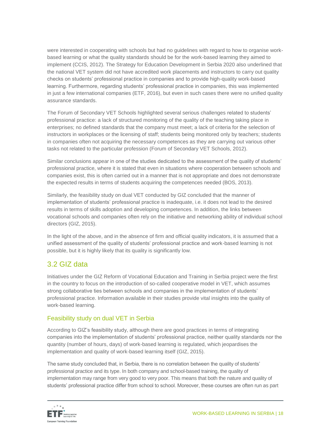were interested in cooperating with schools but had no guidelines with regard to how to organise workbased learning or what the quality standards should be for the work-based learning they aimed to implement (CCIS, 2012). The Strategy for Education Development in Serbia 2020 also underlined that the national VET system did not have accredited work placements and instructors to carry out quality checks on students' professional practice in companies and to provide high-quality work-based learning. Furthermore, regarding students' professional practice in companies, this was implemented in just a few international companies (ETF, 2016), but even in such cases there were no unified quality assurance standards.

The Forum of Secondary VET Schools highlighted several serious challenges related to students' professional practice: a lack of structured monitoring of the quality of the teaching taking place in enterprises; no defined standards that the company must meet; a lack of criteria for the selection of instructors in workplaces or the licensing of staff; students being monitored only by teachers; students in companies often not acquiring the necessary competences as they are carrying out various other tasks not related to the particular profession (Forum of Secondary VET Schools, 2012).

Similar conclusions appear in one of the studies dedicated to the assessment of the quality of students' professional practice, where it is stated that even in situations where cooperation between schools and companies exist, this is often carried out in a manner that is not appropriate and does not demonstrate the expected results in terms of students acquiring the competences needed (BOS, 2013).

Similarly, the feasibility study on dual VET conducted by GIZ concluded that the manner of implementation of students' professional practice is inadequate, i.e. it does not lead to the desired results in terms of skills adoption and developing competences. In addition, the links between vocational schools and companies often rely on the initiative and networking ability of individual school directors (GIZ, 2015).

In the light of the above, and in the absence of firm and official quality indicators, it is assumed that a unified assessment of the quality of students' professional practice and work-based learning is not possible, but it is highly likely that its quality is significantly low.

# <span id="page-17-0"></span>3.2 GIZ data

Initiatives under the GIZ Reform of Vocational Education and Training in Serbia project were the first in the country to focus on the introduction of so-called cooperative model in VET, which assumes strong collaborative ties between schools and companies in the implementation of students' professional practice. Information available in their studies provide vital insights into the quality of work-based learning.

#### Feasibility study on dual VET in Serbia

According to GIZ's feasibility study, although there are good practices in terms of integrating companies into the implementation of students' professional practice, neither quality standards nor the quantity (number of hours, days) of work-based learning is regulated, which jeopardises the implementation and quality of work-based learning itself (GIZ, 2015).

The same study concluded that, in Serbia, there is no correlation between the quality of students' professional practice and its type. In both company and school-based training, the quality of implementation may range from very good to very poor. This means that both the nature and quality of students' professional practice differ from school to school. Moreover, these courses are often run as part

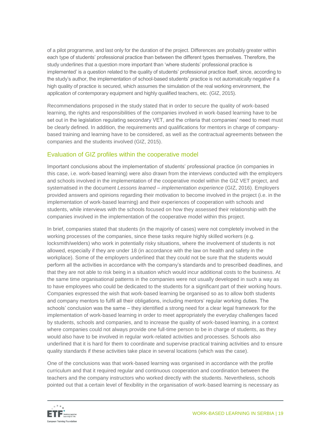of a pilot programme, and last only for the duration of the project. Differences are probably greater within each type of students' professional practice than between the different types themselves. Therefore, the study underlines that a question more important than 'where students' professional practice is implemented' is a question related to the quality of students' professional practice itself, since, according to the study's author, the implementation of school-based students' practice is not automatically negative if a high quality of practice is secured, which assumes the simulation of the real working environment, the application of contemporary equipment and highly qualified teachers, etc. (GIZ, 2015).

Recommendations proposed in the study stated that in order to secure the quality of work-based learning, the rights and responsibilities of the companies involved in work-based learning have to be set out in the legislation regulating secondary VET, and the criteria that companies' need to meet must be clearly defined. In addition, the requirements and qualifications for mentors in charge of companybased training and learning have to be considered, as well as the contractual agreements between the companies and the students involved (GIZ, 2015).

#### Evaluation of GIZ profiles within the cooperative model

Important conclusions about the implementation of students' professional practice (in companies in this case, i.e. work-based learning) were also drawn from the interviews conducted with the employers and schools involved in the implementation of the cooperative model within the GIZ VET project, and systematised in the document *Lessons learned – implementation experience* (GIZ, 2016). Employers provided answers and opinions regarding their motivation to become involved in the project (i.e. in the implementation of work-based learning) and their experiences of cooperation with schools and students, while interviews with the schools focused on how they assessed their relationship with the companies involved in the implementation of the cooperative model within this project.

In brief, companies stated that students (in the majority of cases) were not completely involved in the working processes of the companies, since these tasks require highly skilled workers (e.g. locksmith/welders) who work in potentially risky situations, where the involvement of students is not allowed, especially if they are under 18 (in accordance with the law on health and safety in the workplace). Some of the employers underlined that they could not be sure that the students would perform all the activities in accordance with the company's standards and to prescribed deadlines, and that they are not able to risk being in a situation which would incur additional costs to the business. At the same time organisational patterns in the companies were not usually developed in such a way as to have employees who could be dedicated to the students for a significant part of their working hours. Companies expressed the wish that work-based learning be organised so as to allow both students and company mentors to fulfil all their obligations, including mentors' regular working duties. The schools' conclusion was the same – they identified a strong need for a clear legal framework for the implementation of work-based learning in order to meet appropriately the everyday challenges faced by students, schools and companies, and to increase the quality of work-based learning, in a context where companies could not always provide one full-time person to be in charge of students, as they would also have to be involved in regular work-related activities and processes. Schools also underlined that it is hard for them to coordinate and supervise practical training activities and to ensure quality standards if these activities take place in several locations (which was the case).

One of the conclusions was that work-based learning was organised in accordance with the profile curriculum and that it required regular and continuous cooperation and coordination between the teachers and the company instructors who worked directly with the students. Nevertheless, schools pointed out that a certain level of flexibility in the organisation of work-based learning is necessary as

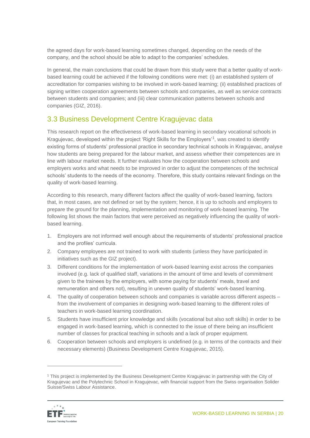the agreed days for work-based learning sometimes changed, depending on the needs of the company, and the school should be able to adapt to the companies' schedules.

In general, the main conclusions that could be drawn from this study were that a better quality of workbased learning could be achieved if the following conditions were met: (i) an established system of accreditation for companies wishing to be involved in work-based learning; (ii) established practices of signing written cooperation agreements between schools and companies, as well as service contracts between students and companies; and (iii) clear communication patterns between schools and companies (GIZ, 2016).

### <span id="page-19-0"></span>3.3 Business Development Centre Kragujevac data

This research report on the effectiveness of work-based learning in secondary vocational schools in Kragujevac, developed within the project 'Right Skills for the Employers'<sup>1</sup>, was created to identify existing forms of students' professional practice in secondary technical schools in Kragujevac, analyse how students are being prepared for the labour market, and assess whether their competences are in line with labour market needs. It further evaluates how the cooperation between schools and employers works and what needs to be improved in order to adjust the competences of the technical schools' students to the needs of the economy. Therefore, this study contains relevant findings on the quality of work-based learning.

According to this research, many different factors affect the quality of work-based learning, factors that, in most cases, are not defined or set by the system; hence, it is up to schools and employers to prepare the ground for the planning, implementation and monitoring of work-based learning. The following list shows the main factors that were perceived as negatively influencing the quality of workbased learning.

- 1. Employers are not informed well enough about the requirements of students' professional practice and the profiles' curricula.
- 2. Company employees are not trained to work with students (unless they have participated in initiatives such as the GIZ project).
- 3. Different conditions for the implementation of work-based learning exist across the companies involved (e.g. lack of qualified staff, variations in the amount of time and levels of commitment given to the trainees by the employers, with some paying for students' meals, travel and remuneration and others not), resulting in uneven quality of students' work-based learning.
- 4. The quality of cooperation between schools and companies is variable across different aspects from the involvement of companies in designing work-based learning to the different roles of teachers in work-based learning coordination.
- 5. Students have insufficient prior knowledge and skills (vocational but also soft skills) in order to be engaged in work-based learning, which is connected to the issue of there being an insufficient number of classes for practical teaching in schools and a lack of proper equipment.
- 6. Cooperation between schools and employers is undefined (e.g. in terms of the contracts and their necessary elements) (Business Development Centre Kragujevac, 2015).

<sup>1</sup> This project is implemented by the Business Development Centre Kragujevac in partnership with the City of Kragujevac and the Polytechnic School in Kragujevac, with financial support from the Swiss organisation Solider Suisse/Swiss Labour Assistance.



 $\overline{a}$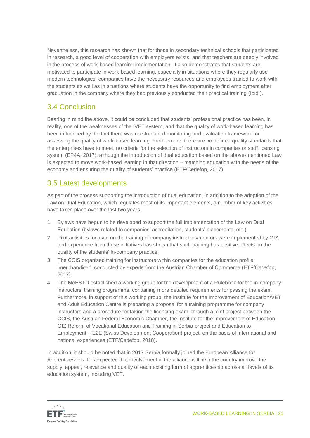Nevertheless, this research has shown that for those in secondary technical schools that participated in research, a good level of cooperation with employers exists, and that teachers are deeply involved in the process of work-based learning implementation. It also demonstrates that students are motivated to participate in work-based learning, especially in situations where they regularly use modern technologies, companies have the necessary resources and employees trained to work with the students as well as in situations where students have the opportunity to find employment after graduation in the company where they had previously conducted their practical training (Ibid.).

# <span id="page-20-0"></span>3.4 Conclusion

Bearing in mind the above, it could be concluded that students' professional practice has been, in reality, one of the weaknesses of the IVET system, and that the quality of work-based learning has been influenced by the fact there was no structured monitoring and evaluation framework for assessing the quality of work-based learning. Furthermore, there are no defined quality standards that the enterprises have to meet, no criteria for the selection of instructors in companies or staff licensing system (EP4A, 2017), although the introduction of dual education based on the above-mentioned Law is expected to move work-based learning in that direction – matching education with the needs of the economy and ensuring the quality of students' practice (ETF/Cedefop, 2017).

### <span id="page-20-1"></span>3.5 Latest developments

As part of the process supporting the introduction of dual education, in addition to the adoption of the Law on Dual Education, which regulates most of its important elements, a number of key activities have taken place over the last two years.

- 1. Bylaws have begun to be developed to support the full implementation of the Law on Dual Education (bylaws related to companies' accreditation, students' placements, etc.).
- 2. Pilot activities focused on the training of company instructors/mentors were implemented by GIZ, and experience from these initiatives has shown that such training has positive effects on the quality of the students' in-company practice.
- 3. The CCIS organised training for instructors within companies for the education profile 'merchandiser', conducted by experts from the Austrian Chamber of Commerce (ETF/Cedefop, 2017).
- 4. The MoESTD established a working group for the development of a Rulebook for the in-company instructors' training programme, containing more detailed requirements for passing the exam. Furthermore, in support of this working group, the Institute for the Improvement of Education/VET and Adult Education Centre is preparing a proposal for a training programme for company instructors and a procedure for taking the licencing exam, through a joint project between the CCIS, the Austrian Federal Economic Chamber, the Institute for the Improvement of Education, GIZ Reform of Vocational Education and Training in Serbia project and Education to Employment – E2E (Swiss Development Cooperation) project, on the basis of international and national experiences (ETF/Cedefop, 2018).

In addition, it should be noted that in 2017 Serbia formally joined the European Alliance for Apprenticeships. It is expected that involvement in the alliance will help the country improve the supply, appeal, relevance and quality of each existing form of apprenticeship across all levels of its education system, including VET.

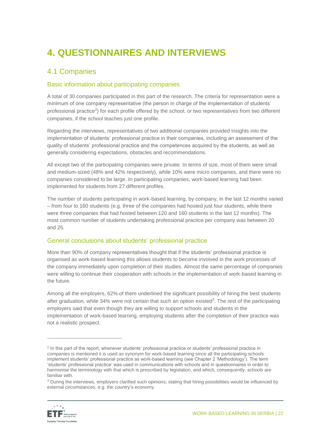# <span id="page-21-0"></span>**4. QUESTIONNAIRES AND INTERVIEWS**

## <span id="page-21-1"></span>4.1 Companies

#### Basic information about participating companies

A total of 30 companies participated in this part of the research. The criteria for representation were a minimum of one company representative (the person in charge of the implementation of students' professional practice<sup>2</sup>) for each profile offered by the school, or two representatives from two different companies, if the school teaches just one profile.

Regarding the interviews, representatives of two additional companies provided insights into the implementation of students' professional practice in their companies, including an assessment of the quality of students' professional practice and the competences acquired by the students, as well as generally considering expectations, obstacles and recommendations.

All except two of the participating companies were private. In terms of size, most of them were small and medium-sized (48% and 42% respectively), while 10% were micro companies, and there were no companies considered to be large. In participating companies, work-based learning had been implemented for students from 27 different profiles.

The number of students participating in work-based learning, by company, in the last 12 months varied – from four to 160 students (e.g. three of the companies had hosted just four students, while there were three companies that had hosted between 120 and 160 students in the last 12 months). The most common number of students undertaking professional practice per company was between 20 and 25.

#### General conclusions about students' professional practice

More than 90% of company representatives thought that if the students' professional practice is organised as work-based learning this allows students to become involved in the work processes of the company immediately upon completion of their studies. Almost the same percentage of companies were willing to continue their cooperation with schools in the implementation of work-based learning in the future.

Among all the employers, 62% of them underlined the significant possibility of hiring the best students after graduation, while 34% were not certain that such an option existed<sup>3</sup>. The rest of the participating employers said that even though they are willing to support schools and students in the implementation of work-based learning, employing students after the completion of their practice was not a realistic prospect.

<sup>&</sup>lt;sup>3</sup> During the interviews, employers clarified such opinions, stating that hiring possibilities would be influenced by external circumstances, e.g. the country's economy.



 $\overline{a}$ 

<sup>2</sup> In this part of the report, whenever students' professional practice or students' professional practice in companies is mentioned it is used as synonym for work-based learning since all the participating schools implement students' professional practice as work-based learning (see Chapter 2 'Methodology'). The term 'students' professional practice' was used in communications with schools and in questionnaires in order to harmonise the terminology with that which is prescribed by legislation, and which, consequently, schools are familiar with.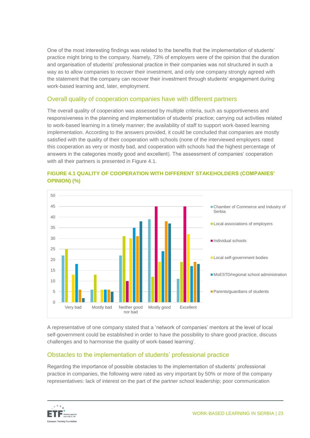One of the most interesting findings was related to the benefits that the implementation of students' practice might bring to the company. Namely, 73% of employers were of the opinion that the duration and organisation of students' professional practice in their companies was not structured in such a way as to allow companies to recover their investment, and only one company strongly agreed with the statement that the company can recover their investment through students' engagement during work-based learning and, later, employment.

#### Overall quality of cooperation companies have with different partners

The overall quality of cooperation was assessed by multiple criteria, such as supportiveness and responsiveness in the planning and implementation of students' practice; carrying out activities related to work-based learning in a timely manner; the availability of staff to support work-based learning implementation. According to the answers provided, it could be concluded that companies are mostly satisfied with the quality of their cooperation with schools (none of the interviewed employers rated this cooperation as very or mostly bad, and cooperation with schools had the highest percentage of answers in the categories mostly good and excellent). The assessment of companies' cooperation with all their partners is presented in Figure 4.1.



#### **FIGURE 4.1 QUALITY OF COOPERATION WITH DIFFERENT STAKEHOLDERS (COMPANIES' OPINION) (%)**

A representative of one company stated that a 'network of companies' mentors at the level of local self-government could be established in order to have the possibility to share good practice, discuss challenges and to harmonise the quality of work-based learning'.

#### Obstacles to the implementation of students' professional practice

Regarding the importance of possible obstacles to the implementation of students' professional practice in companies, the following were rated as very important by 50% or more of the company representatives: lack of interest on the part of the partner school leadership; poor communication

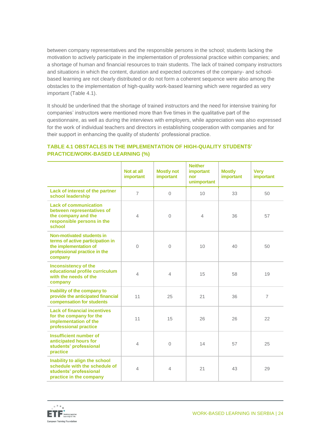between company representatives and the responsible persons in the school; students lacking the motivation to actively participate in the implementation of professional practice within companies; and a shortage of human and financial resources to train students. The lack of trained company instructors and situations in which the content, duration and expected outcomes of the company- and schoolbased learning are not clearly distributed or do not form a coherent sequence were also among the obstacles to the implementation of high-quality work-based learning which were regarded as very important (Table 4.1).

It should be underlined that the shortage of trained instructors and the need for intensive training for companies' instructors were mentioned more than five times in the qualitative part of the questionnaire, as well as during the interviews with employers, while appreciation was also expressed for the work of individual teachers and directors in establishing cooperation with companies and for their support in enhancing the quality of students' professional practice.

|                                                                                                                                   | Not at all<br>important  | <b>Mostly not</b><br>important | <b>Neither</b><br>important<br>nor<br>unimportant | <b>Mostly</b><br>important | <b>Very</b><br>important |
|-----------------------------------------------------------------------------------------------------------------------------------|--------------------------|--------------------------------|---------------------------------------------------|----------------------------|--------------------------|
| Lack of interest of the partner<br>school leadership                                                                              | $\overline{7}$           | $\overline{0}$                 | 10                                                | 33                         | 50                       |
| <b>Lack of communication</b><br>between representatives of<br>the company and the<br>responsible persons in the<br>school         | $\overline{4}$           | $\overline{0}$                 | $\overline{4}$                                    | 36                         | 57                       |
| Non-motivated students in<br>terms of active participation in<br>the implementation of<br>professional practice in the<br>company | $\overline{0}$           | 0                              | 10                                                | 40                         | 50                       |
| <b>Inconsistency of the</b><br>educational profile curriculum<br>with the needs of the<br>company                                 | $\overline{\mathcal{A}}$ | 4                              | 15                                                | 58                         | 19                       |
| Inability of the company to<br>provide the anticipated financial<br>compensation for students                                     | 11                       | 25                             | 21                                                | 36                         | $\overline{7}$           |
| <b>Lack of financial incentives</b><br>for the company for the<br>implementation of the<br>professional practice                  | 11                       | 15                             | 26                                                | 26                         | 22                       |
| Insufficient number of<br>anticipated hours for<br>students' professional<br>practice                                             | $\overline{4}$           | $\overline{0}$                 | 14                                                | 57                         | 25                       |
| Inability to align the school<br>schedule with the schedule of<br>students' professional<br>practice in the company               | $\overline{4}$           | 4                              | 21                                                | 43                         | 29                       |

#### **TABLE 4.1 OBSTACLES IN THE IMPLEMENTATION OF HIGH-QUALITY STUDENTS' PRACTICE/WORK-BASED LEARNING (%)**

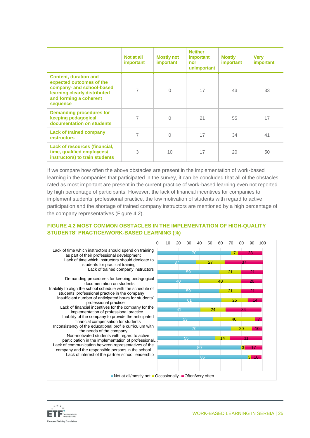|                                                                                                                                                             | Not at all<br><i>important</i> | <b>Mostly not</b><br>important | <b>Neither</b><br><i>important</i><br>nor<br>unimportant | <b>Mostly</b><br>important | <b>Very</b><br>important |
|-------------------------------------------------------------------------------------------------------------------------------------------------------------|--------------------------------|--------------------------------|----------------------------------------------------------|----------------------------|--------------------------|
| <b>Content, duration and</b><br>expected outcomes of the<br>company- and school-based<br>learning clearly distributed<br>and forming a coherent<br>sequence | 7                              | $\Omega$                       | 17                                                       | 43                         | 33                       |
| <b>Demanding procedures for</b><br>keeping pedagogical<br>documentation on students                                                                         | 7                              | $\Omega$                       | 21                                                       | 55                         | 17                       |
| <b>Lack of trained company</b><br><b>instructors</b>                                                                                                        | 7                              | $\mathbf{0}$                   | 17                                                       | 34                         | 41                       |
| Lack of resources (financial,<br>time, qualified employees/<br>instructors) to train students                                                               | 3                              | 10                             | 17                                                       | 20                         | 50                       |

If we compare how often the above obstacles are present in the implementation of work-based learning in the companies that participated in the survey, it can be concluded that all of the obstacles rated as most important are present in the current practice of work-based learning even not reported by high percentage of participants. However, the lack of financial incentives for companies to implement students' professional practice, the low motivation of students with regard to active participation and the shortage of trained company instructors are mentioned by a high percentage of the company representatives (Figure 4.2).

#### **FIGURE 4.2 MOST COMMON OBSTACLES IN THE IMPLEMENTATION OF HIGH-QUALITY STUDENTS' PRACTICE/WORK-BASED LEARNING (%)**



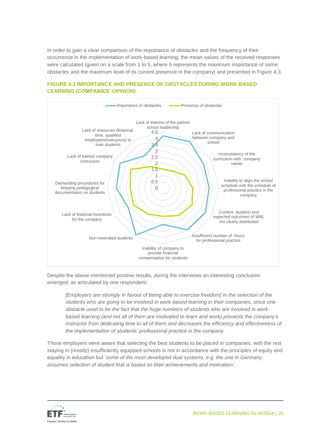In order to gain a clear comparison of the importance of obstacles and the frequency of their occurrence in the implementation of work-based learning, the mean values of the received responses were calculated (given on a scale from 1 to 5, where 5 represents the maximum importance of some obstacles and the maximum level of its current presence in the company) and presented in Figure 4.3.

#### $\cap$  $0.5$ 1 1.5 2 2.5 3 3.5 4 4.5 Lack of interest of the partner school leadership Lack of communication between company and school Inconsistency of the curriculum with company needs Inability to align the school schedule with the schedule of professional practice in the company Content, duration and expected outcomes of WBL not clearly distributed Insufficient number of hours for professional practice Inability of company to provide financial compensation for students Non-motivated students Lack of financial incentives for the company Demanding procedures for keeping pedagogical documentation on students Lack of trained company instructors Lack of resources (financial, time, qualified employees/instructors) to train students Importance of obstacles **COVID-Presence of obstacles**

#### **FIGURE 4.3 IMPORTANCE AND PRESENCE OF OBSTACLES DURING WORK-BASED LEARNING (COMPANIES' OPINION)**

Despite the above-mentioned positive results, during the interviews an interesting conclusion emerged, as articulated by one respondent:

*[Employers are strongly in favour of being able to exercise freedom] in the selection of the*  students who are going to be involved in work-based learning in their companies, since one *obstacle used to be the fact that the huge numbers of students who are involved in workbased learning (and not all of them are motivated to learn and work) prevents the company's instructor from dedicating time to all of them and decreases the efficiency and effectiveness of the implementation of students' professional practice in the company.* 

Those employers were aware that selecting the best students to be placed in companies, with the rest staying in (mostly) insufficiently equipped schools is not in accordance with the principles of equity and equality in education but '*some of the most developed dual systems, e.g. the one in Germany, assumes selection of student that is based on their achievements and motivation'*.

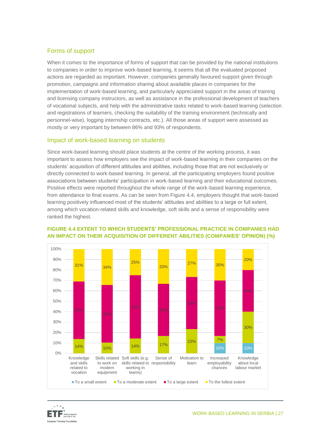#### Forms of support

When it comes to the importance of forms of support that can be provided by the national institutions to companies in order to improve work-based learning, it seems that all the evaluated proposed actions are regarded as important. However, companies generally favoured support given through promotion, campaigns and information sharing about available places in companies for the implementation of work-based learning, and particularly appreciated support in the areas of training and licensing company instructors, as well as assistance in the professional development of teachers of vocational subjects, and help with the administrative tasks related to work-based learning (selection and registrations of learners, checking the suitability of the training environment (technically and personnel-wise), logging internship contracts, etc.). All those areas of support were assessed as mostly or very important by between 86% and 93% of respondents.

#### Impact of work-based learning on students

Since work-based learning should place students at the centre of the working process, it was important to assess how employers see the impact of work-based learning in their companies on the students' acquisition of different attitudes and abilities, including those that are not exclusively or directly connected to work-based learning. In general, all the participating employers found positive associations between students' participation in work-based learning and their educational outcomes. Positive effects were reported throughout the whole range of the work-based learning experience, from attendance to final exams. As can be seen from Figure 4.4, employers thought that work-based learning positively influenced most of the students' attitudes and abilities to a large or full extent, among which vocation-related skills and knowledge, soft skills and a sense of responsibility were ranked the highest.



#### **FIGURE 4.4 EXTENT TO WHICH STUDENTS' PROFESSIONAL PRACTICE IN COMPANIES HAD AN IMPACT ON THEIR ACQUISITION OF DIFFERENT ABILITIES (COMPANIES' OPINION) (%)**

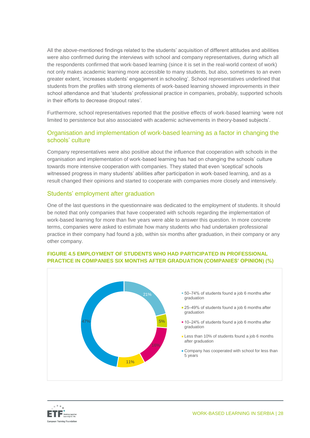All the above-mentioned findings related to the students' acquisition of different attitudes and abilities were also confirmed during the interviews with school and company representatives, during which all the respondents confirmed that work-based learning (since it is set in the real-world context of work) not only makes academic learning more accessible to many students, but also, sometimes to an even greater extent, 'increases students' engagement in schooling'. School representatives underlined that students from the profiles with strong elements of work-based learning showed improvements in their school attendance and that 'students' professional practice in companies, probably, supported schools in their efforts to decrease dropout rates'.

Furthermore, school representatives reported that the positive effects of work-based learning 'were not limited to persistence but also associated with academic achievements in theory-based subjects'.

#### Organisation and implementation of work-based learning as a factor in changing the schools' culture

Company representatives were also positive about the influence that cooperation with schools in the organisation and implementation of work-based learning has had on changing the schools' culture towards more intensive cooperation with companies. They stated that even 'sceptical' schools witnessed progress in many students' abilities after participation in work-based learning, and as a result changed their opinions and started to cooperate with companies more closely and intensively.

#### Students' employment after graduation

One of the last questions in the questionnaire was dedicated to the employment of students. It should be noted that only companies that have cooperated with schools regarding the implementation of work-based learning for more than five years were able to answer this question. In more concrete terms, companies were asked to estimate how many students who had undertaken professional practice in their company had found a job, within six months after graduation, in their company or any other company.



#### **FIGURE 4.5 EMPLOYMENT OF STUDENTS WHO HAD PARTICIPATED IN PROFESSIONAL PRACTICE IN COMPANIES SIX MONTHS AFTER GRADUATION (COMPANIES' OPINION) (%)**

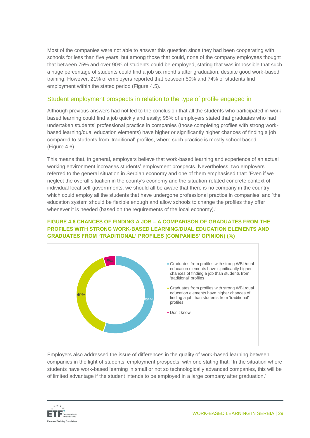Most of the companies were not able to answer this question since they had been cooperating with schools for less than five years, but among those that could, none of the company employees thought that between 75% and over 90% of students could be employed, stating that was impossible that such a huge percentage of students could find a job six months after graduation, despite good work-based training. However, 21% of employers reported that between 50% and 74% of students find employment within the stated period (Figure 4.5).

#### Student employment prospects in relation to the type of profile engaged in

Although previous answers had not led to the conclusion that all the students who participated in workbased learning could find a job quickly and easily; 95% of employers stated that graduates who had undertaken students' professional practice in companies (those completing profiles with strong workbased learning/dual education elements) have higher or significantly higher chances of finding a job compared to students from 'traditional' profiles, where such practice is mostly school based (Figure 4.6).

This means that, in general, employers believe that work-based learning and experience of an actual working environment increases students' employment prospects. Nevertheless, two employers referred to the general situation in Serbian economy and one of them emphasised that: 'Even if we neglect the overall situation in the county's economy and the situation-related concrete context of individual local self-governments, we should all be aware that there is no company in the country which could employ all the students that have undergone professional practice in companies' and 'the education system should be flexible enough and allow schools to change the profiles they offer whenever it is needed (based on the requirements of the local economy).'



#### **FIGURE 4.6 CHANCES OF FINDING A JOB – A COMPARISON OF GRADUATES FROM THE PROFILES WITH STRONG WORK-BASED LEARNING/DUAL EDUCATION ELEMENTS AND GRADUATES FROM 'TRADITIONAL' PROFILES (COMPANIES' OPINION) (%)**

Employers also addressed the issue of differences in the quality of work-based learning between companies in the light of students' employment prospects, with one stating that: 'In the situation where students have work-based learning in small or not so technologically advanced companies, this will be of limited advantage if the student intends to be employed in a large company after graduation.'

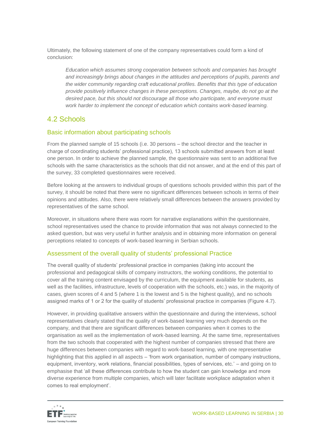Ultimately, the following statement of one of the company representatives could form a kind of conclusion:

*Education which assumes strong cooperation between schools and companies has brought and increasingly brings about changes in the attitudes and perceptions of pupils, parents and the wider community regarding craft educational profiles. Benefits that this type of education provide positively influence changes in these perceptions. Changes, maybe, do not go at the desired pace, but this should not discourage all those who participate, and everyone must work harder to implement the concept of education which contains work-based learning.*

### <span id="page-29-0"></span>4.2 Schools

#### Basic information about participating schools

From the planned sample of 15 schools (i.e. 30 persons – the school director and the teacher in charge of coordinating students' professional practice), 13 schools submitted answers from at least one person. In order to achieve the planned sample, the questionnaire was sent to an additional five schools with the same characteristics as the schools that did not answer, and at the end of this part of the survey, 33 completed questionnaires were received.

Before looking at the answers to individual groups of questions schools provided within this part of the survey, it should be noted that there were no significant differences between schools in terms of their opinions and attitudes. Also, there were relatively small differences between the answers provided by representatives of the same school.

Moreover, in situations where there was room for narrative explanations within the questionnaire, school representatives used the chance to provide information that was not always connected to the asked question, but was very useful in further analysis and in obtaining more information on general perceptions related to concepts of work-based learning in Serbian schools.

#### Assessment of the overall quality of students' professional Practice

The overall quality of students' professional practice in companies (taking into account the professional and pedagogical skills of company instructors, the working conditions, the potential to cover all the training content envisaged by the curriculum, the equipment available for students, as well as the facilities, infrastructure, levels of cooperation with the schools, etc.) was, in the majority of cases, given scores of 4 and 5 (where 1 is the lowest and 5 is the highest quality), and no schools assigned marks of 1 or 2 for the quality of students' professional practice in companies (Figure 4.7).

However, in providing qualitative answers within the questionnaire and during the interviews, school representatives clearly stated that the quality of work-based learning very much depends on the company, and that there are significant differences between companies when it comes to the organisation as well as the implementation of work-based learning. At the same time, representatives from the two schools that cooperated with the highest number of companies stressed that there are huge differences between companies with regard to work-based learning, with one representative highlighting that this applied in all aspects – 'from work organisation, number of company instructions, equipment, inventory, work relations, financial possibilities, types of services, etc.' – and going on to emphasise that 'all these differences contribute to how the student can gain knowledge and more diverse experience from multiple companies, which will later facilitate workplace adaptation when it comes to real employment'.

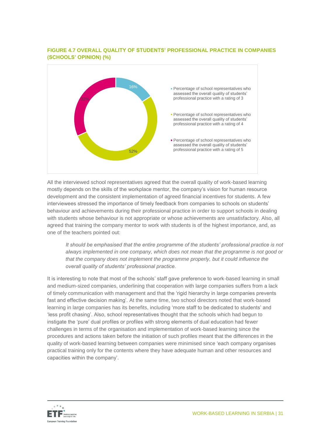#### **FIGURE 4.7 OVERALL QUALITY OF STUDENTS' PROFESSIONAL PRACTICE IN COMPANIES (SCHOOLS' OPINION) (%)**



All the interviewed school representatives agreed that the overall quality of work-based learning mostly depends on the skills of the workplace mentor, the company's vision for human resource development and the consistent implementation of agreed financial incentives for students. A few interviewees stressed the importance of timely feedback from companies to schools on students' behaviour and achievements during their professional practice in order to support schools in dealing with students whose behaviour is not appropriate or whose achievements are unsatisfactory. Also, all agreed that training the company mentor to work with students is of the highest importance, and, as one of the teachers pointed out:

*It should be emphasised that the entire programme of the students' professional practice is not always implemented in one company, which does not mean that the programme is not good or that the company does not implement the programme properly, but it could influence the overall quality of students' professional practice.*

It is interesting to note that most of the schools' staff gave preference to work-based learning in small and medium-sized companies, underlining that cooperation with large companies suffers from a lack of timely communication with management and that the 'rigid hierarchy in large companies prevents fast and effective decision making'. At the same time, two school directors noted that work-based learning in large companies has its benefits, including 'more staff to be dedicated to students' and 'less profit chasing'. Also, school representatives thought that the schools which had begun to instigate the 'pure' dual profiles or profiles with strong elements of dual education had fewer challenges in terms of the organisation and implementation of work-based learning since the procedures and actions taken before the initiation of such profiles meant that the differences in the quality of work-based learning between companies were minimised since 'each company organises practical training only for the contents where they have adequate human and other resources and capacities within the company'.

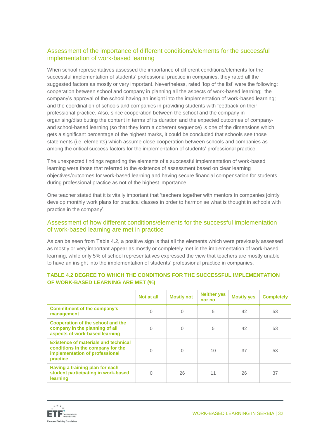#### Assessment of the importance of different conditions/elements for the successful implementation of work-based learning

When school representatives assessed the importance of different conditions/elements for the successful implementation of students' professional practice in companies, they rated all the suggested factors as mostly or very important. Nevertheless, rated 'top of the list' were the following: cooperation between school and company in planning all the aspects of work-based learning; the company's approval of the school having an insight into the implementation of work-based learning; and the coordination of schools and companies in providing students with feedback on their professional practice. Also, since cooperation between the school and the company in organising/distributing the content in terms of its duration and the expected outcomes of companyand school-based learning (so that they form a coherent sequence) is one of the dimensions which gets a significant percentage of the highest marks, it could be concluded that schools see those statements (i.e. elements) which assume close cooperation between schools and companies as among the critical success factors for the implementation of students' professional practice.

The unexpected findings regarding the elements of a successful implementation of work-based learning were those that referred to the existence of assessment based on clear learning objectives/outcomes for work-based learning and having secure financial compensation for students during professional practice as not of the highest importance.

One teacher stated that it is vitally important that 'teachers together with mentors in companies jointly develop monthly work plans for practical classes in order to harmonise what is thought in schools with practice in the company'.

#### Assessment of how different conditions/elements for the successful implementation of work-based learning are met in practice

As can be seen from Table 4.2, a positive sign is that all the elements which were previously assessed as mostly or very important appear as mostly or completely met in the implementation of work-based learning, while only 5% of school representatives expressed the view that teachers are mostly unable to have an insight into the implementation of students' professional practice in companies.

|                                                                                                                                | Not at all   | <b>Mostly not</b> | <b>Neither yes</b><br>nor no | <b>Mostly yes</b> | <b>Completely</b> |
|--------------------------------------------------------------------------------------------------------------------------------|--------------|-------------------|------------------------------|-------------------|-------------------|
| <b>Commitment of the company's</b><br>management                                                                               | 0            | $\Omega$          | 5                            | 42                | 53                |
| <b>Cooperation of the school and the</b><br>company in the planning of all<br>aspects of work-based learning                   | <sup>0</sup> | O                 | 5                            | 42                | 53                |
| <b>Existence of materials and technical</b><br>conditions in the company for the<br>implementation of professional<br>practice | O            | $\Omega$          | 10                           | 37                | 53                |
| Having a training plan for each<br>student participating in work-based<br>learning                                             | <sup>0</sup> | 26                | 11                           | 26                | 37                |

#### **TABLE 4.2 DEGREE TO WHICH THE CONDITIONS FOR THE SUCCESSFUL IMPLEMENTATION OF WORK-BASED LEARNING ARE MET (%)**

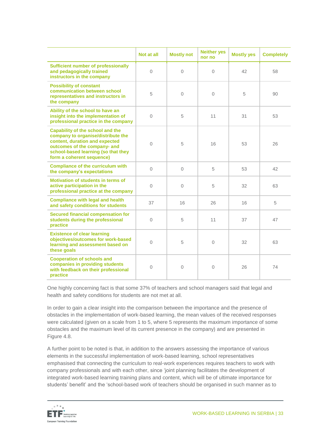|                                                                                                                                                                                                                     | Not at all | <b>Mostly not</b> | <b>Neither yes</b><br>nor no | <b>Mostly yes</b> | <b>Completely</b> |
|---------------------------------------------------------------------------------------------------------------------------------------------------------------------------------------------------------------------|------------|-------------------|------------------------------|-------------------|-------------------|
| <b>Sufficient number of professionally</b><br>and pedagogically trained<br>instructors in the company                                                                                                               | $\Omega$   | $\Omega$          | $\Omega$                     | 42                | 58                |
| <b>Possibility of constant</b><br>communication between school<br>representatives and instructors in<br>the company                                                                                                 | 5          | $\Omega$          | $\Omega$                     | 5                 | 90                |
| Ability of the school to have an<br>insight into the implementation of<br>professional practice in the company                                                                                                      | $\Omega$   | 5                 | 11                           | 31                | 53                |
| <b>Capability of the school and the</b><br>company to organise/distribute the<br>content, duration and expected<br>outcomes of the company- and<br>school-based learning (so that they<br>form a coherent sequence) | $\Omega$   | 5                 | 16                           | 53                | 26                |
| <b>Compliance of the curriculum with</b><br>the company's expectations                                                                                                                                              | $\Omega$   | $\Omega$          | 5                            | 53                | 42                |
| Motivation of students in terms of<br>active participation in the<br>professional practice at the company                                                                                                           | $\Omega$   | $\Omega$          | 5                            | 32                | 63                |
| <b>Compliance with legal and health</b><br>and safety conditions for students                                                                                                                                       | 37         | 16                | 26                           | 16                | 5                 |
| <b>Secured financial compensation for</b><br>students during the professional<br>practice                                                                                                                           | $\Omega$   | 5                 | 11                           | 37                | 47                |
| <b>Existence of clear learning</b><br>objectives/outcomes for work-based<br>learning and assessment based on<br>these goals                                                                                         | $\Omega$   | 5                 | $\Omega$                     | 32                | 63                |
| <b>Cooperation of schools and</b><br>companies in providing students<br>with feedback on their professional<br>practice                                                                                             | $\Omega$   | $\overline{0}$    | $\Omega$                     | 26                | 74                |

One highly concerning fact is that some 37% of teachers and school managers said that legal and health and safety conditions for students are not met at all.

In order to gain a clear insight into the comparison between the importance and the presence of obstacles in the implementation of work-based learning, the mean values of the received responses were calculated (given on a scale from 1 to 5, where 5 represents the maximum importance of some obstacles and the maximum level of its current presence in the company) and are presented in Figure 4.8.

A further point to be noted is that, in addition to the answers assessing the importance of various elements in the successful implementation of work-based learning, school representatives emphasised that connecting the curriculum to real-work experiences requires teachers to work with company professionals and with each other, since 'joint planning facilitates the development of integrated work-based learning training plans and content, which will be of ultimate importance for students' benefit' and the 'school-based work of teachers should be organised in such manner as to

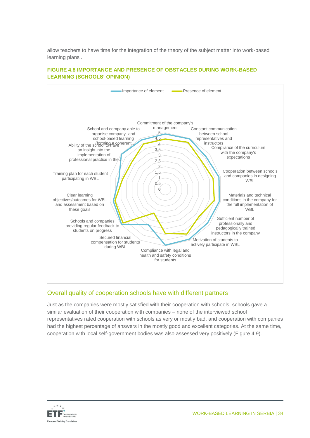allow teachers to have time for the integration of the theory of the subject matter into work-based learning plans'.

#### **FIGURE 4.8 IMPORTANCE AND PRESENCE OF OBSTACLES DURING WORK-BASED LEARNING (SCHOOLS' OPINION)**



#### Overall quality of cooperation schools have with different partners

Just as the companies were mostly satisfied with their cooperation with schools, schools gave a similar evaluation of their cooperation with companies – none of the interviewed school representatives rated cooperation with schools as very or mostly bad, and cooperation with companies had the highest percentage of answers in the mostly good and excellent categories. At the same time, cooperation with local self-government bodies was also assessed very positively (Figure 4.9).

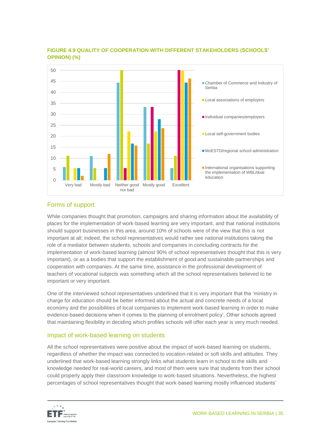

#### **FIGURE 4.9 QUALITY OF COOPERATION WITH DIFFERENT STAKEHOLDERS (SCHOOLS' OPINION) (%)**

#### Forms of support

While companies thought that promotion, campaigns and sharing information about the availability of places for the implementation of work-based learning are very important, and that national institutions should support businesses in this area, around 10% of schools were of the view that this is not important at all; indeed, the school representatives would rather see national institutions taking the role of a mediator between students, schools and companies in concluding contracts for the implementation of work-based learning (almost 90% of school representatives thought that this is very important), or as a bodies that support the establishment of good and sustainable partnerships and cooperation with companies. At the same time, assistance in the professional development of teachers of vocational subjects was something which all the school representatives believed to be important or very important.

One of the interviewed school representatives underlined that it is very important that the 'ministry in charge for education should be better informed about the actual and concrete needs of a local economy and the possibilities of local companies to implement work-based learning in order to make evidence-based decisions when it comes to the planning of enrolment policy'. Other schools agreed that maintaining flexibility in deciding which profiles schools will offer each year is very much needed.

#### Impact of work-based learning on students

All the school representatives were positive about the impact of work-based learning on students, regardless of whether the impact was connected to vocation-related or soft skills and attitudes. They underlined that work-based learning strongly links what students learn in school to the skills and knowledge needed for real-world careers, and most of them were sure that students from their school could properly apply their classroom knowledge to work-based situations. Nevertheless, the highest percentages of school representatives thought that work-based learning mostly influenced students'

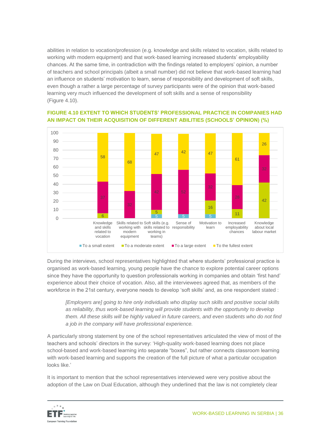abilities in relation to vocation/profession (e.g. knowledge and skills related to vocation, skills related to working with modern equipment) and that work-based learning increased students' employability chances. At the same time, in contradiction with the findings related to employers' opinion, a number of teachers and school principals (albeit a small number) did not believe that work-based learning had an influence on students' motivation to learn, sense of responsibility and development of soft skills, even though a rather a large percentage of survey participants were of the opinion that work-based learning very much influenced the development of soft skills and a sense of responsibility (Figure 4.10).



#### **FIGURE 4.10 EXTENT TO WHICH STUDENTS' PROFESSIONAL PRACTICE IN COMPANIES HAD AN IMPACT ON THEIR ACQUISITION OF DIFFERENT ABILITIES (SCHOOLS' OPINION) (%)**

During the interviews, school representatives highlighted that where students' professional practice is organised as work-based learning, young people have the chance to explore potential career options since they have the opportunity to question professionals working in companies and obtain 'first hand' experience about their choice of vocation. Also, all the interviewees agreed that, as members of the workforce in the 21st century, everyone needs to develop 'soft skills' and, as one respondent stated :

*[Employers are] going to hire only individuals who display such skills and positive social skills as reliability, thus work-based learning will provide students with the opportunity to develop them. All these skills will be highly valued in future careers, and even students who do not find a job in the company will have professional experience.*

A particularly strong statement by one of the school representatives articulated the view of most of the teachers and schools' directors in the survey: 'High-quality work-based learning does not place school-based and work-based learning into separate "boxes", but rather connects classroom learning with work-based learning and supports the creation of the full picture of what a particular occupation looks like.'

It is important to mention that the school representatives interviewed were very positive about the adoption of the Law on Dual Education, although they underlined that the law is not completely clear

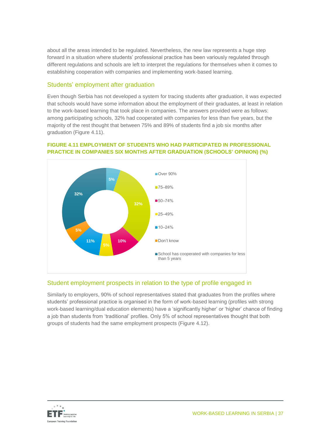about all the areas intended to be regulated. Nevertheless, the new law represents a huge step forward in a situation where students' professional practice has been variously regulated through different regulations and schools are left to interpret the regulations for themselves when it comes to establishing cooperation with companies and implementing work-based learning.

#### Students' employment after graduation

Even though Serbia has not developed a system for tracing students after graduation, it was expected that schools would have some information about the employment of their graduates, at least in relation to the work-based learning that took place in companies. The answers provided were as follows: among participating schools, 32% had cooperated with companies for less than five years, but the majority of the rest thought that between 75% and 89% of students find a job six months after graduation (Figure 4.11).

#### **FIGURE 4.11 EMPLOYMENT OF STUDENTS WHO HAD PARTICIPATED IN PROFESSIONAL PRACTICE IN COMPANIES SIX MONTHS AFTER GRADUATION (SCHOOLS' OPINION) (%)**



#### Student employment prospects in relation to the type of profile engaged in

Similarly to employers, 90% of school representatives stated that graduates from the profiles where students' professional practice is organised in the form of work-based learning (profiles with strong work-based learning/dual education elements) have a 'significantly higher' or 'higher' chance of finding a job than students from 'traditional' profiles. Only 5% of school representatives thought that both groups of students had the same employment prospects (Figure 4.12).

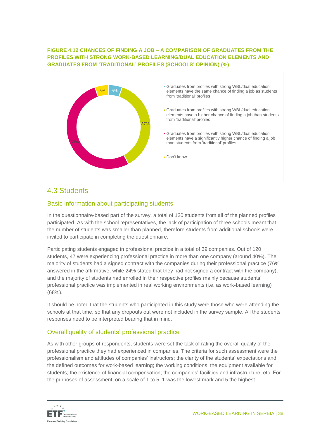#### **FIGURE 4.12 CHANCES OF FINDING A JOB – A COMPARISON OF GRADUATES FROM THE PROFILES WITH STRONG WORK-BASED LEARNING/DUAL EDUCATION ELEMENTS AND GRADUATES FROM 'TRADITIONAL' PROFILES (SCHOOLS' OPINION) (%)**



### <span id="page-37-0"></span>4.3 Students

#### Basic information about participating students

In the questionnaire-based part of the survey, a total of 120 students from all of the planned profiles participated. As with the school representatives, the lack of participation of three schools meant that the number of students was smaller than planned, therefore students from additional schools were invited to participate in completing the questionnaire.

Participating students engaged in professional practice in a total of 39 companies. Out of 120 students, 47 were experiencing professional practice in more than one company (around 40%). The majority of students had a signed contract with the companies during their professional practice (76% answered in the affirmative, while 24% stated that they had not signed a contract with the company), and the majority of students had enrolled in their respective profiles mainly because students' professional practice was implemented in real working environments (i.e. as work-based learning) (68%).

It should be noted that the students who participated in this study were those who were attending the schools at that time, so that any dropouts out were not included in the survey sample. All the students' responses need to be interpreted bearing that in mind.

#### Overall quality of students' professional practice

As with other groups of respondents, students were set the task of rating the overall quality of the professional practice they had experienced in companies. The criteria for such assessment were the professionalism and attitudes of companies' instructors; the clarity of the students' expectations and the defined outcomes for work-based learning; the working conditions; the equipment available for students; the existence of financial compensation; the companies' facilities and infrastructure, etc. For the purposes of assessment, on a scale of 1 to 5, 1 was the lowest mark and 5 the highest.

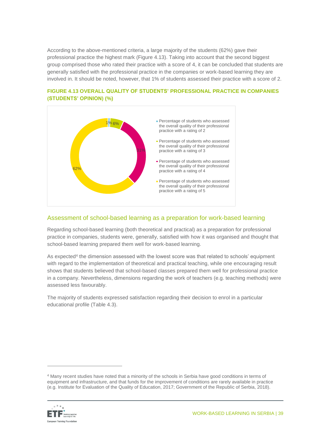According to the above-mentioned criteria, a large majority of the students (62%) gave their professional practice the highest mark (Figure 4.13). Taking into account that the second biggest group comprised those who rated their practice with a score of 4, it can be concluded that students are generally satisfied with the professional practice in the companies or work-based learning they are involved in. It should be noted, however, that 1% of students assessed their practice with a score of 2.



#### **FIGURE 4.13 OVERALL QUALITY OF STUDENTS' PROFESSIONAL PRACTICE IN COMPANIES (STUDENTS' OPINION) (%)**

#### Assessment of school-based learning as a preparation for work-based learning

Regarding school-based learning (both theoretical and practical) as a preparation for professional practice in companies, students were, generally, satisfied with how it was organised and thought that school-based learning prepared them well for work-based learning.

As expected<sup>4</sup> the dimension assessed with the lowest score was that related to schools' equipment with regard to the implementation of theoretical and practical teaching, while one encouraging result shows that students believed that school-based classes prepared them well for professional practice in a company. Nevertheless, dimensions regarding the work of teachers (e.g. teaching methods) were assessed less favourably.

The majority of students expressed satisfaction regarding their decision to enrol in a particular educational profile (Table 4.3).

<sup>4</sup> Many recent studies have noted that a minority of the schools in Serbia have good conditions in terms of equipment and infrastructure, and that funds for the improvement of conditions are rarely available in practice (e.g. Institute for Evaluation of the Quality of Education, 2017; Government of the Republic of Serbia, 2018).



 $\overline{a}$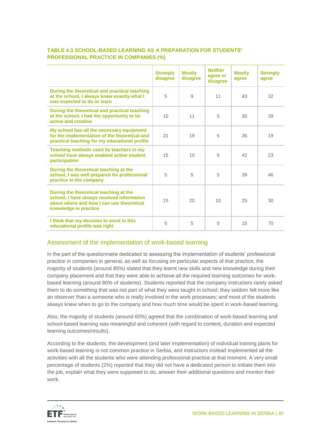|                                                                                                                                                            | <b>Strongly</b><br>disagree | <b>Mostly</b><br>disagree | <b>Neither</b><br>agree or<br>disagree | <b>Mostly</b><br>agree | <b>Strongly</b><br>agree |
|------------------------------------------------------------------------------------------------------------------------------------------------------------|-----------------------------|---------------------------|----------------------------------------|------------------------|--------------------------|
| During the theoretical and practical teaching<br>at the school, I always knew exactly what I<br>was expected to do or learn                                | 5                           | 9                         | 11                                     | 43                     | 32                       |
| During the theoretical and practical teaching<br>at the school, I had the opportunity to be<br>active and creative                                         | 10 <sup>1</sup>             | 11                        | 5                                      | 35                     | 39                       |
| My school has all the necessary equipment<br>for the implementation of the theoretical and<br>practical teaching for my educational profile                | 21                          | 19                        | 5                                      | 36                     | 19                       |
| Teaching methods used by teachers in my<br>school have always enabled active student<br>participation                                                      | 15                          | 15                        | 5                                      | 42                     | 23                       |
| During the theoretical teaching at the<br>school, I was well prepared for professional<br>practice in the company                                          | 5                           | 5                         | 5                                      | 39                     | 46                       |
| During the theoretical teaching at the<br>school, I have always received information<br>about where and how I can use theoretical<br>knowledge in practice | 15                          | 20                        | 10                                     | 25                     | 30                       |
| I think that my decision to enrol in this<br>educational profile was right                                                                                 | 5                           | 5                         | 5                                      | 15                     | 70                       |

#### **TABLE 4.3 SCHOOL-BASED LEARNING AS A PREPARATION FOR STUDENTS' PROFESSIONAL PRACTICE IN COMPANIES (%)**

#### Assessment of the implementation of work-based learning

In the part of the questionnaire dedicated to assessing the implementation of students' professional practice in companies in general, as well as focusing on particular aspects of that practice, the majority of students (around 85%) stated that they learnt new skills and new knowledge during their company placement and that they were able to achieve all the required learning outcomes for workbased learning (around 80% of students). Students reported that the company instructors rarely asked them to do something that was not part of what they were taught in school; they seldom felt more like an observer than a someone who is really involved in the work processes; and most of the students always knew when to go to the company and how much time would be spent in work-based learning.

Also, the majority of students (around 60%) agreed that the combination of work-based learning and school-based learning was meaningful and coherent (with regard to content, duration and expected learning outcomes/results).

According to the students, the development (and later implementation) of individual training plans for work-based learning is not common practice in Serbia, and instructors instead implemented all the activities with all the students who were attending professional practice at that moment. A very small percentage of students (2%) reported that they did not have a dedicated person to initiate them into the job, explain what they were supposed to do, answer their additional questions and monitor their work.

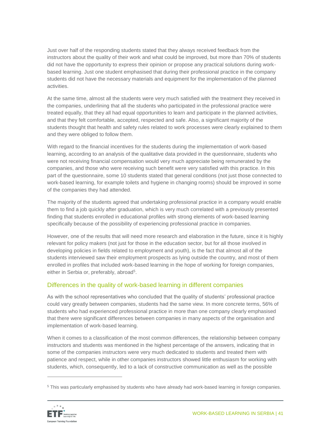Just over half of the responding students stated that they always received feedback from the instructors about the quality of their work and what could be improved, but more than 70% of students did not have the opportunity to express their opinion or propose any practical solutions during workbased learning. Just one student emphasised that during their professional practice in the company students did not have the necessary materials and equipment for the implementation of the planned activities.

At the same time, almost all the students were very much satisfied with the treatment they received in the companies, underlining that all the students who participated in the professional practice were treated equally, that they all had equal opportunities to learn and participate in the planned activities, and that they felt comfortable, accepted, respected and safe. Also, a significant majority of the students thought that health and safety rules related to work processes were clearly explained to them and they were obliged to follow them.

With regard to the financial incentives for the students during the implementation of work-based learning, according to an analysis of the qualitative data provided in the questionnaire, students who were not receiving financial compensation would very much appreciate being remunerated by the companies, and those who were receiving such benefit were very satisfied with this practice. In this part of the questionnaire, some 10 students stated that general conditions (not just those connected to work-based learning, for example toilets and hygiene in changing rooms) should be improved in some of the companies they had attended.

The majority of the students agreed that undertaking professional practice in a company would enable them to find a job quickly after graduation, which is very much correlated with a previously presented finding that students enrolled in educational profiles with strong elements of work-based learning specifically because of the possibility of experiencing professional practice in companies.

However, one of the results that will need more research and elaboration in the future, since it is highly relevant for policy makers (not just for those in the education sector, but for all those involved in developing policies in fields related to employment and youth), is the fact that almost all of the students interviewed saw their employment prospects as lying outside the country, and most of them enrolled in profiles that included work-based learning in the hope of working for foreign companies, either in Serbia or, preferably, abroad<sup>5</sup>.

#### Differences in the quality of work-based learning in different companies

As with the school representatives who concluded that the quality of students' professional practice could vary greatly between companies, students had the same view. In more concrete terms, 56% of students who had experienced professional practice in more than one company clearly emphasised that there were significant differences between companies in many aspects of the organisation and implementation of work-based learning.

When it comes to a classification of the most common differences, the relationship between company instructors and students was mentioned in the highest percentage of the answers, indicating that in some of the companies instructors were very much dedicated to students and treated them with patience and respect, while in other companies instructors showed little enthusiasm for working with students, which, consequently, led to a lack of constructive communication as well as the possible

<sup>5</sup> This was particularly emphasised by students who have already had work-based learning in foreign companies.



 $\overline{a}$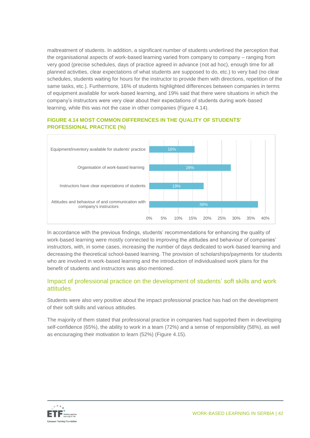maltreatment of students. In addition, a significant number of students underlined the perception that the organisational aspects of work-based learning varied from company to company – ranging from very good (precise schedules, days of practice agreed in advance (not ad hoc), enough time for all planned activities, clear expectations of what students are supposed to do, etc.) to very bad (no clear schedules, students waiting for hours for the instructor to provide them with directions, repetition of the same tasks, etc.). Furthermore, 16% of students highlighted differences between companies in terms of equipment available for work-based learning, and 19% said that there were situations in which the company's instructors were very clear about their expectations of students during work-based learning, while this was not the case in other companies (Figure 4.14).

#### **FIGURE 4.14 MOST COMMON DIFFERENCES IN THE QUALITY OF STUDENTS' PROFESSIONAL PRACTICE (%)**



In accordance with the previous findings, students' recommendations for enhancing the quality of work-based learning were mostly connected to improving the attitudes and behaviour of companies' instructors, with, in some cases, increasing the number of days dedicated to work-based learning and decreasing the theoretical school-based learning. The provision of scholarships/payments for students who are involved in work-based learning and the introduction of individualised work plans for the benefit of students and instructors was also mentioned.

#### Impact of professional practice on the development of students' soft skills and work attitudes

Students were also very positive about the impact professional practice has had on the development of their soft skills and various attitudes.

The majority of them stated that professional practice in companies had supported them in developing self-confidence (65%), the ability to work in a team (72%) and a sense of responsibility (58%), as well as encouraging their motivation to learn (52%) (Figure 4.15).

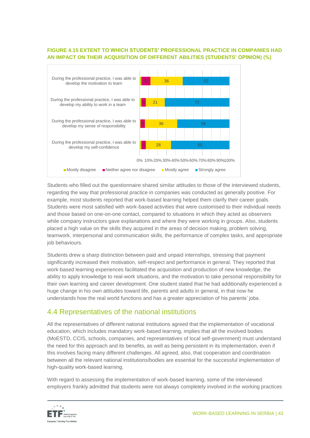#### **FIGURE 4.15 EXTENT TO WHICH STUDENTS' PROFESSIONAL PRACTICE IN COMPANIES HAD AN IMPACT ON THEIR ACQUISITION OF DIFFERENT ABILITIES (STUDENTS' OPINION) (%)**



Students who filled out the questionnaire shared similar attitudes to those of the interviewed students, regarding the way that professional practice in companies was conducted as generally positive. For example, most students reported that work-based learning helped them clarify their career goals. Students were most satisfied with work-based activities that were customised to their individual needs and those based on one-on-one contact, compared to situations in which they acted as observers while company instructors gave explanations and where they were working in groups. Also, students placed a high value on the skills they acquired in the areas of decision making, problem solving, teamwork, interpersonal and communication skills, the performance of complex tasks, and appropriate job behaviours.

Students drew a sharp distinction between paid and unpaid internships, stressing that payment significantly increased their motivation, self-respect and performance in general. They reported that work-based learning experiences facilitated the acquisition and production of new knowledge, the ability to apply knowledge to real-work situations, and the motivation to take personal responsibility for their own learning and career development. One student stated that he had additionally experienced a huge change in his own attitudes toward life, parents and adults in general, in that now he understands how the real world functions and has a greater appreciation of his parents' jobs.

### <span id="page-42-0"></span>4.4 Representatives of the national institutions

All the representatives of different national institutions agreed that the implementation of vocational education, which includes mandatory work-based learning, implies that all the involved bodies (MoESTD, CCIS, schools, companies, and representatives of local self-government) must understand the need for this approach and its benefits, as well as being persistent in its implementation, even if this involves facing many different challenges. All agreed, also, that cooperation and coordination between all the relevant national institutions/bodies are essential for the successful implementation of high-quality work-based learning.

With regard to assessing the implementation of work-based learning, some of the interviewed employers frankly admitted that students were not always completely involved in the working practices

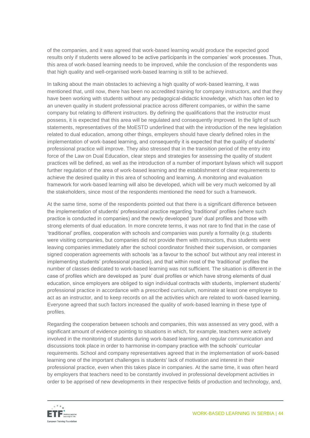of the companies, and it was agreed that work-based learning would produce the expected good results only if students were allowed to be active participants in the companies' work processes. Thus, this area of work-based learning needs to be improved, while the conclusion of the respondents was that high quality and well-organised work-based learning is still to be achieved.

In talking about the main obstacles to achieving a high quality of work-based learning, it was mentioned that, until now, there has been no accredited training for company instructors, and that they have been working with students without any pedagogical-didactic knowledge, which has often led to an uneven quality in student professional practice across different companies, or within the same company but relating to different instructors. By defining the qualifications that the instructor must possess, it is expected that this area will be regulated and consequently improved. In the light of such statements, representatives of the MoESTD underlined that with the introduction of the new legislation related to dual education, among other things, employers should have clearly defined roles in the implementation of work-based learning, and consequently it is expected that the quality of students' professional practice will improve. They also stressed that in the transition period of the entry into force of the Law on Dual Education, clear steps and strategies for assessing the quality of student practices will be defined, as well as the introduction of a number of important bylaws which will support further regulation of the area of work-based learning and the establishment of clear requirements to achieve the desired quality in this area of schooling and learning. A monitoring and evaluation framework for work-based learning will also be developed, which will be very much welcomed by all the stakeholders, since most of the respondents mentioned the need for such a framework.

At the same time, some of the respondents pointed out that there is a significant difference between the implementation of students' professional practice regarding 'traditional' profiles (where such practice is conducted in companies) and the newly developed 'pure' dual profiles and those with strong elements of dual education. In more concrete terms, it was not rare to find that in the case of 'traditional' profiles, cooperation with schools and companies was purely a formality (e.g. students were visiting companies, but companies did not provide them with instructors, thus students were leaving companies immediately after the school coordinator finished their supervision, or companies signed cooperation agreements with schools 'as a favour to the school' but without any real interest in implementing students' professional practice), and that within most of the 'traditional' profiles the number of classes dedicated to work-based learning was not sufficient. The situation is different in the case of profiles which are developed as 'pure' dual profiles or which have strong elements of dual education, since employers are obliged to sign individual contracts with students, implement students' professional practice in accordance with a prescribed curriculum, nominate at least one employee to act as an instructor, and to keep records on all the activities which are related to work-based learning. Everyone agreed that such factors increased the quality of work-based learning in these type of profiles.

Regarding the cooperation between schools and companies, this was assessed as very good, with a significant amount of evidence pointing to situations in which, for example, teachers were actively involved in the monitoring of students during work-based learning, and regular communication and discussions took place in order to harmonise in-company practice with the schools' curricular requirements. School and company representatives agreed that in the implementation of work-based learning one of the important challenges is students' lack of motivation and interest in their professional practice, even when this takes place in companies. At the same time, it was often heard by employers that teachers need to be constantly involved in professional development activities in order to be apprised of new developments in their respective fields of production and technology, and,

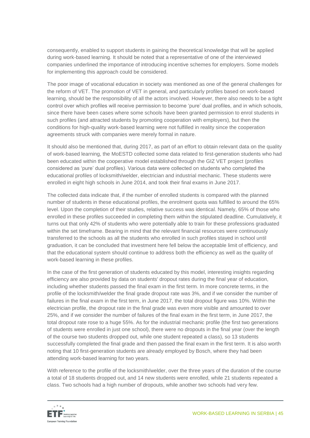consequently, enabled to support students in gaining the theoretical knowledge that will be applied during work-based learning. It should be noted that a representative of one of the interviewed companies underlined the importance of introducing incentive schemes for employers. Some models for implementing this approach could be considered.

The poor image of vocational education in society was mentioned as one of the general challenges for the reform of VET. The promotion of VET in general, and particularly profiles based on work-based learning, should be the responsibility of all the actors involved. However, there also needs to be a tight control over which profiles will receive permission to become 'pure' dual profiles, and in which schools, since there have been cases where some schools have been granted permission to enrol students in such profiles (and attracted students by promoting cooperation with employers), but then the conditions for high-quality work-based learning were not fulfilled in reality since the cooperation agreements struck with companies were merely formal in nature.

It should also be mentioned that, during 2017, as part of an effort to obtain relevant data on the quality of work-based learning, the MoESTD collected some data related to first-generation students who had been educated within the cooperative model established through the GIZ VET project (profiles considered as 'pure' dual profiles). Various data were collected on students who completed the educational profiles of locksmith/welder, electrician and industrial mechanic. These students were enrolled in eight high schools in June 2014, and took their final exams in June 2017.

The collected data indicate that, if the number of enrolled students is compared with the planned number of students in these educational profiles, the enrolment quota was fulfilled to around the 65% level. Upon the completion of their studies, relative success was identical. Namely, 65% of those who enrolled in these profiles succeeded in completing them within the stipulated deadline. Cumulatively, it turns out that only 42% of students who were potentially able to train for these professions graduated within the set timeframe. Bearing in mind that the relevant financial resources were continuously transferred to the schools as all the students who enrolled in such profiles stayed in school until graduation, it can be concluded that investment here fell below the acceptable limit of efficiency, and that the educational system should continue to address both the efficiency as well as the quality of work-based learning in these profiles.

In the case of the first generation of students educated by this model, interesting insights regarding efficiency are also provided by data on students' dropout rates during the final year of education, including whether students passed the final exam in the first term. In more concrete terms, in the profile of the locksmith/welder the final grade dropout rate was 3%, and if we consider the number of failures in the final exam in the first term, in June 2017, the total dropout figure was 10%. Within the electrician profile, the dropout rate in the final grade was even more visible and amounted to over 25%, and if we consider the number of failures of the final exam in the first term, in June 2017, the total dropout rate rose to a huge 55%. As for the industrial mechanic profile (the first two generations of students were enrolled in just one school), there were no dropouts in the final year (over the length of the course two students dropped out, while one student repeated a class), so 13 students successfully completed the final grade and then passed the final exam in the first term. It is also worth noting that 10 first-generation students are already employed by Bosch, where they had been attending work-based learning for two years.

With reference to the profile of the locksmith/welder, over the three years of the duration of the course a total of 18 students dropped out, and 14 new students were enrolled, while 21 students repeated a class. Two schools had a high number of dropouts, while another two schools had very few.

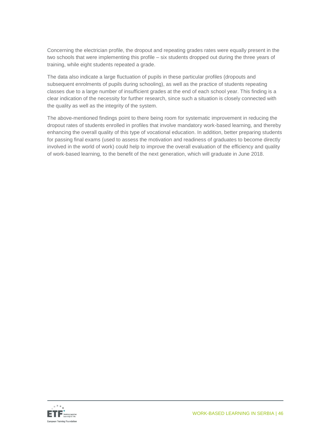Concerning the electrician profile, the dropout and repeating grades rates were equally present in the two schools that were implementing this profile – six students dropped out during the three years of training, while eight students repeated a grade.

The data also indicate a large fluctuation of pupils in these particular profiles (dropouts and subsequent enrolments of pupils during schooling), as well as the practice of students repeating classes due to a large number of insufficient grades at the end of each school year. This finding is a clear indication of the necessity for further research, since such a situation is closely connected with the quality as well as the integrity of the system.

The above-mentioned findings point to there being room for systematic improvement in reducing the dropout rates of students enrolled in profiles that involve mandatory work-based learning, and thereby enhancing the overall quality of this type of vocational education. In addition, better preparing students for passing final exams (used to assess the motivation and readiness of graduates to become directly involved in the world of work) could help to improve the overall evaluation of the efficiency and quality of work-based learning, to the benefit of the next generation, which will graduate in June 2018.

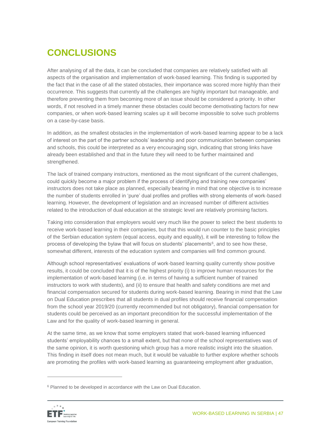# <span id="page-46-0"></span>**CONCLUSIONS**

After analysing of all the data, it can be concluded that companies are relatively satisfied with all aspects of the organisation and implementation of work-based learning. This finding is supported by the fact that in the case of all the stated obstacles, their importance was scored more highly than their occurrence. This suggests that currently all the challenges are highly important but manageable, and therefore preventing them from becoming more of an issue should be considered a priority. In other words, if not resolved in a timely manner these obstacles could become demotivating factors for new companies, or when work-based learning scales up it will become impossible to solve such problems on a case-by-case basis.

In addition, as the smallest obstacles in the implementation of work-based learning appear to be a lack of interest on the part of the partner schools' leadership and poor communication between companies and schools, this could be interpreted as a very encouraging sign, indicating that strong links have already been established and that in the future they will need to be further maintained and strengthened.

The lack of trained company instructors, mentioned as the most significant of the current challenges, could quickly become a major problem if the process of identifying and training new companies' instructors does not take place as planned, especially bearing in mind that one objective is to increase the number of students enrolled in 'pure' dual profiles and profiles with strong elements of work-based learning. However, the development of legislation and an increased number of different activities related to the introduction of dual education at the strategic level are relatively promising factors.

Taking into consideration that employers would very much like the power to select the best students to receive work-based learning in their companies, but that this would run counter to the basic principles of the Serbian education system (equal access, equity and equality), it will be interesting to follow the process of developing the bylaw that will focus on students' placements<sup>6</sup>, and to see how these, somewhat different, interests of the education system and companies will find common ground.

Although school representatives' evaluations of work-based learning quality currently show positive results, it could be concluded that it is of the highest priority (i) to improve human resources for the implementation of work-based learning (i.e. in terms of having a sufficient number of trained instructors to work with students), and (ii) to ensure that health and safety conditions are met and financial compensation secured for students during work-based learning. Bearing in mind that the Law on Dual Education prescribes that all students in dual profiles should receive financial compensation from the school year 2019/20 (currently recommended but not obligatory), financial compensation for students could be perceived as an important precondition for the successful implementation of the Law and for the quality of work-based learning in general.

At the same time, as we know that some employers stated that work-based learning influenced students' employability chances to a small extent, but that none of the school representatives was of the same opinion, it is worth questioning which group has a more realistic insight into the situation. This finding in itself does not mean much, but it would be valuable to further explore whether schools are promoting the profiles with work-based learning as guaranteeing employment after graduation,

<sup>&</sup>lt;sup>6</sup> Planned to be developed in accordance with the Law on Dual Education.



 $\overline{a}$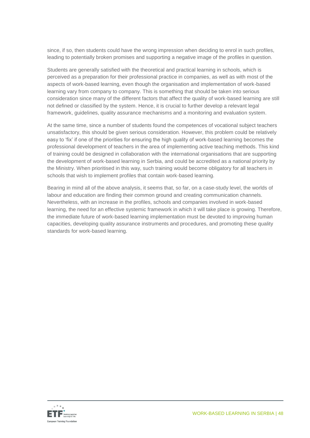since, if so, then students could have the wrong impression when deciding to enrol in such profiles, leading to potentially broken promises and supporting a negative image of the profiles in question.

Students are generally satisfied with the theoretical and practical learning in schools, which is perceived as a preparation for their professional practice in companies, as well as with most of the aspects of work-based learning, even though the organisation and implementation of work-based learning vary from company to company. This is something that should be taken into serious consideration since many of the different factors that affect the quality of work-based learning are still not defined or classified by the system. Hence, it is crucial to further develop a relevant legal framework, guidelines, quality assurance mechanisms and a monitoring and evaluation system.

At the same time, since a number of students found the competences of vocational subject teachers unsatisfactory, this should be given serious consideration. However, this problem could be relatively easy to 'fix' if one of the priorities for ensuring the high quality of work-based learning becomes the professional development of teachers in the area of implementing active teaching methods. This kind of training could be designed in collaboration with the international organisations that are supporting the development of work-based learning in Serbia, and could be accredited as a national priority by the Ministry. When prioritised in this way, such training would become obligatory for all teachers in schools that wish to implement profiles that contain work-based learning.

Bearing in mind all of the above analysis, it seems that, so far, on a case-study level, the worlds of labour and education are finding their common ground and creating communication channels. Nevertheless, with an increase in the profiles, schools and companies involved in work-based learning, the need for an effective systemic framework in which it will take place is growing. Therefore, the immediate future of work-based learning implementation must be devoted to improving human capacities, developing quality assurance instruments and procedures, and promoting these quality standards for work-based learning.

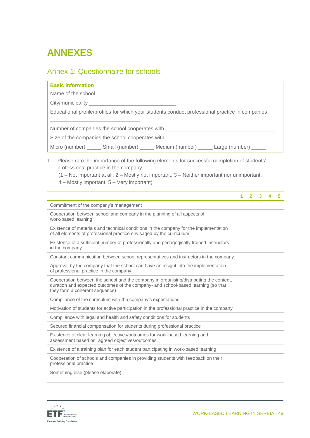# <span id="page-48-0"></span>**ANNEXES**

# <span id="page-48-1"></span>Annex 1: Questionnaire for schools

| <b>Basic information</b>                                                                                                                                                                                                                                                                 |
|------------------------------------------------------------------------------------------------------------------------------------------------------------------------------------------------------------------------------------------------------------------------------------------|
|                                                                                                                                                                                                                                                                                          |
|                                                                                                                                                                                                                                                                                          |
| Educational profile/profiles for which your students conduct professional practice in companies                                                                                                                                                                                          |
| Number of companies the school cooperates with _____________________                                                                                                                                                                                                                     |
| Size of the companies the school cooperates with:                                                                                                                                                                                                                                        |
| Micro (number) _______ Small (number) ______ Medium (number) ______ Large (number) _____                                                                                                                                                                                                 |
| Please rate the importance of the following elements for successful completion of students'<br>1.<br>professional practice in the company.<br>$(1 - Not important at all, 2 - Mostly not important, 3 - Neither important nor unimportant,$<br>4 – Mostly important, 5 – Very important) |
| $1 -$<br>$2 \quad 3 \quad 4$<br>5                                                                                                                                                                                                                                                        |
| Commitment of the company's management                                                                                                                                                                                                                                                   |
| Cooperation between school and company in the planning of all aspects of<br>work-based learning                                                                                                                                                                                          |
| Existence of materials and technical conditions in the company for the implementation<br>of all elements of professional practice envisaged by the curriculum                                                                                                                            |
| Existence of a sufficient number of professionally and pedagogically trained instructors<br>in the company                                                                                                                                                                               |
| Constant communication between school representatives and instructors in the company                                                                                                                                                                                                     |
| Approval by the company that the school can have an insight into the implementation<br>of professional practice in the company                                                                                                                                                           |
| Cooperation between the school and the company in organising/distributing the content,<br>duration and expected outcomes of the company- and school-based learning (so that<br>they form a coherent sequence)                                                                            |
| Compliance of the curriculum with the company's expectations                                                                                                                                                                                                                             |
| Motivation of students for active participation in the professional practice in the company                                                                                                                                                                                              |
|                                                                                                                                                                                                                                                                                          |
| Compliance with legal and health and safety conditions for students                                                                                                                                                                                                                      |
| Secured financial compensation for students during professional practice                                                                                                                                                                                                                 |
| Existence of clear learning objectives/outcomes for work-based learning and<br>assessment based on agreed objectives/outcomes                                                                                                                                                            |
| Existence of a training plan for each student participating in work-based learning                                                                                                                                                                                                       |
| Cooperation of schools and companies in providing students with feedback on their<br>professional practice                                                                                                                                                                               |

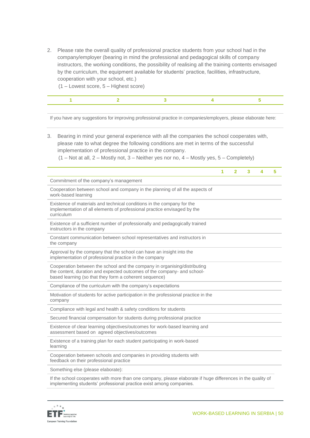2. Please rate the overall quality of professional practice students from your school had in the company/employer (bearing in mind the professional and pedagogical skills of company instructors, the working conditions, the possibility of realising all the training contents envisaged by the curriculum, the equipment available for students' practice, facilities, infrastructure, cooperation with your school, etc.)

(1 – Lowest score, 5 – Highest score)

If you have any suggestions for improving professional practice in companies/employers, please elaborate here:

- 3. Bearing in mind your general experience with all the companies the school cooperates with, please rate to what degree the following conditions are met in terms of the successful implementation of professional practice in the company.
	- $(1 Not at all, 2 Mostly not, 3 Neither yes nor no, 4 Mostly yes, 5 Completely)$

|                                                                                                                                                                                                                | 1 | $\mathbf{2}$ | 3 | 4 | 5 |
|----------------------------------------------------------------------------------------------------------------------------------------------------------------------------------------------------------------|---|--------------|---|---|---|
| Commitment of the company's management                                                                                                                                                                         |   |              |   |   |   |
| Cooperation between school and company in the planning of all the aspects of<br>work-based learning                                                                                                            |   |              |   |   |   |
| Existence of materials and technical conditions in the company for the<br>implementation of all elements of professional practice envisaged by the<br>curriculum                                               |   |              |   |   |   |
| Existence of a sufficient number of professionally and pedagogically trained<br>instructors in the company                                                                                                     |   |              |   |   |   |
| Constant communication between school representatives and instructors in<br>the company                                                                                                                        |   |              |   |   |   |
| Approval by the company that the school can have an insight into the<br>implementation of professional practice in the company                                                                                 |   |              |   |   |   |
| Cooperation between the school and the company in organising/distributing<br>the content, duration and expected outcomes of the company- and school-<br>based learning (so that they form a coherent sequence) |   |              |   |   |   |
| Compliance of the curriculum with the company's expectations                                                                                                                                                   |   |              |   |   |   |
| Motivation of students for active participation in the professional practice in the<br>company                                                                                                                 |   |              |   |   |   |
| Compliance with legal and health & safety conditions for students                                                                                                                                              |   |              |   |   |   |
| Secured financial compensation for students during professional practice                                                                                                                                       |   |              |   |   |   |
| Existence of clear learning objectives/outcomes for work-based learning and<br>assessment based on agreed objectives/outcomes                                                                                  |   |              |   |   |   |
| Existence of a training plan for each student participating in work-based<br>learning                                                                                                                          |   |              |   |   |   |
| Cooperation between schools and companies in providing students with<br>feedback on their professional practice                                                                                                |   |              |   |   |   |
| Something else (please elaborate):                                                                                                                                                                             |   |              |   |   |   |

If the school cooperates with more than one company, please elaborate if huge differences in the quality of implementing students' professional practice exist among companies.

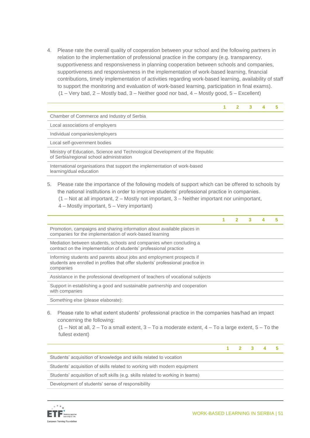4. Please rate the overall quality of cooperation between your school and the following partners in relation to the implementation of professional practice in the company (e.g. transparency, supportiveness and responsiveness in planning cooperation between schools and companies, supportiveness and responsiveness in the implementation of work-based learning, financial contributions, timely implementation of activities regarding work-based learning, availability of staff to support the monitoring and evaluation of work-based learning, participation in final exams).  $(1 - \text{Very bad}, 2 - \text{Mostly bad}, 3 - \text{Neither good nor bad}, 4 - \text{Mostly good}, 5 - \text{Excellent})$ 

|                                                                                                                          |  |  | 5 |
|--------------------------------------------------------------------------------------------------------------------------|--|--|---|
| Chamber of Commerce and Industry of Serbia                                                                               |  |  |   |
| Local associations of employers                                                                                          |  |  |   |
| Individual companies/employers                                                                                           |  |  |   |
| Local self-government bodies                                                                                             |  |  |   |
| Ministry of Education, Science and Technological Development of the Republic<br>of Serbia/regional school administration |  |  |   |
| International organisations that support the implementation of work-based<br>learning/dual education                     |  |  |   |
| Please rate the importance of the following models of support which can be offered to schools by                         |  |  |   |

- Please rate the importance of the following models of support which can be offered to schools by the national institutions in order to improve students' professional practice in companies.
	- $(1 Not at all important, 2 Mostly not important, 3 Neither important nor unimportant,$
	- 4 Mostly important, 5 Very important)

|                                                                                                                                                                       |  | з |  |
|-----------------------------------------------------------------------------------------------------------------------------------------------------------------------|--|---|--|
| Promotion, campaigns and sharing information about available places in<br>companies for the implementation of work-based learning                                     |  |   |  |
| Mediation between students, schools and companies when concluding a<br>contract on the implementation of students' professional practice                              |  |   |  |
| Informing students and parents about jobs and employment prospects if<br>students are enrolled in profiles that offer students' professional practice in<br>companies |  |   |  |
| Assistance in the professional development of teachers of vocational subjects                                                                                         |  |   |  |
| Support in establishing a good and sustainable partnership and cooperation<br>with companies                                                                          |  |   |  |
| Something else (please elaborate):                                                                                                                                    |  |   |  |

6. Please rate to what extent students' professional practice in the companies has/had an impact concerning the following:

 $(1 - Not at all, 2 - To a small extent, 3 - To a moderate extent, 4 - To a large extent, 5 - To the$ fullest extent)

|                                                                                | $1 \quad 2 \quad 3 \quad 4$ |  |  |
|--------------------------------------------------------------------------------|-----------------------------|--|--|
| Students' acquisition of knowledge and skills related to vocation              |                             |  |  |
| Students' acquisition of skills related to working with modern equipment       |                             |  |  |
| Students' acquisition of soft skills (e.g. skills related to working in teams) |                             |  |  |
| Development of students' sense of responsibility                               |                             |  |  |
|                                                                                |                             |  |  |

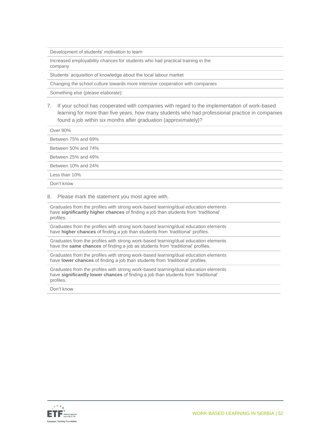Development of students' motivation to learn

Increased employability chances for students who had practical training in the company

Students' acquisition of knowledge about the local labour market

Changing the school culture towards more intensive cooperation with companies

Something else (please elaborate):

7. If your school has cooperated with companies with regard to the implementation of work-based learning for more than five years, how many students who had professional practice in companies found a job within six months after graduation (approximately)?

Over 90%

Between 75% and 89%

Between 50% and 74%

Between 25% and 49%

Between 10% and 24%

Less than 10%

Don't know

#### 8. Please mark the statement you most agree with.

Graduates from the profiles with strong work-based learning/dual education elements have **significantly higher chances** of finding a job than students from 'traditional' profiles.

Graduates from the profiles with strong work-based learning/dual education elements have **higher chances** of finding a job than students from 'traditional' profiles.

Graduates from the profiles with strong work-based learning/dual education elements have the **same chances** of finding a job as students from 'traditional' profiles.

Graduates from the profiles with strong work-based learning/dual education elements have **lower chances** of finding a job than students from 'traditional' profiles.

Graduates from the profiles with strong work-based learning/dual education elements have **significantly lower chances** of finding a job than students from 'traditional' profiles.

Don't know

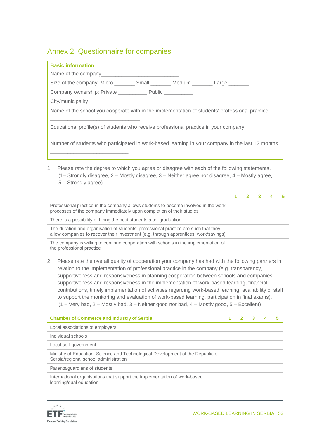### <span id="page-52-0"></span>Annex 2: Questionnaire for companies

| <b>Basic information</b>                                                                       |  |                                                                                                  |
|------------------------------------------------------------------------------------------------|--|--------------------------------------------------------------------------------------------------|
|                                                                                                |  |                                                                                                  |
| Size of the company: Micro ___________ Small __________ Medium _________ Large ________        |  |                                                                                                  |
| Company ownership: Private ______________ Public ___________                                   |  |                                                                                                  |
|                                                                                                |  |                                                                                                  |
| Name of the school you cooperate with in the implementation of students' professional practice |  |                                                                                                  |
| Educational profile(s) of students who receive professional practice in your company           |  |                                                                                                  |
|                                                                                                |  | Number of students who participated in work-based learning in your company in the last 12 months |
|                                                                                                |  |                                                                                                  |
|                                                                                                |  |                                                                                                  |

1. Please rate the degree to which you agree or disagree with each of the following statements. (1– Strongly disagree, 2 – Mostly disagree, 3 – Neither agree nor disagree, 4 – Mostly agree, 5 – Strongly agree)

| Professional practice in the company allows students to become involved in the work<br>processes of the company immediately upon completion of their studies                 |  |  |  |
|------------------------------------------------------------------------------------------------------------------------------------------------------------------------------|--|--|--|
| There is a possibility of hiring the best students after graduation                                                                                                          |  |  |  |
| The duration and organisation of students' professional practice are such that they<br>allow companies to recover their investment (e.g. through apprentices' work/savings). |  |  |  |
| The company is willing to continue cooperation with schools in the implementation of<br>the professional practice                                                            |  |  |  |

2. Please rate the overall quality of cooperation your company has had with the following partners in relation to the implementation of professional practice in the company (e.g. transparency, supportiveness and responsiveness in planning cooperation between schools and companies, supportiveness and responsiveness in the implementation of work-based learning, financial contributions, timely implementation of activities regarding work-based learning, availability of staff to support the monitoring and evaluation of work-based learning, participation in final exams).  $(1 - \text{Very bad}, 2 - \text{Mostly bad}, 3 - \text{Neither good nor bad}, 4 - \text{Mostly good}, 5 - \text{Excellent})$ 

| <b>Chamber of Commerce and Industry of Serbia</b>                                                                        |  |  | 5 |
|--------------------------------------------------------------------------------------------------------------------------|--|--|---|
| Local associations of employers                                                                                          |  |  |   |
| Individual schools                                                                                                       |  |  |   |
| Local self-government                                                                                                    |  |  |   |
| Ministry of Education, Science and Technological Development of the Republic of<br>Serbia/regional school administration |  |  |   |
| Parents/guardians of students                                                                                            |  |  |   |
| International organisations that support the implementation of work-based<br>learning/dual education                     |  |  |   |

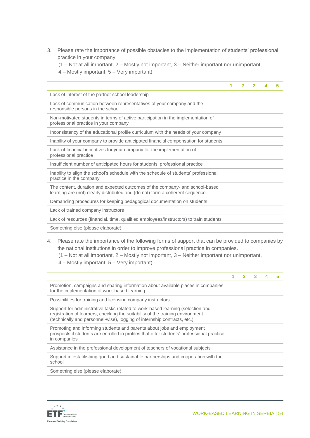- 3. Please rate the importance of possible obstacles to the implementation of students' professional practice in your company.
	- (1 Not at all important, 2 Mostly not important, 3 Neither important nor unimportant,
	- 4 Mostly important, 5 Very important)

|                                                                                                                                                               | 1 | 2 | 3 | 4 | 5 |
|---------------------------------------------------------------------------------------------------------------------------------------------------------------|---|---|---|---|---|
|                                                                                                                                                               |   |   |   |   |   |
| Lack of interest of the partner school leadership                                                                                                             |   |   |   |   |   |
| Lack of communication between representatives of your company and the<br>responsible persons in the school                                                    |   |   |   |   |   |
| Non-motivated students in terms of active participation in the implementation of<br>professional practice in your company                                     |   |   |   |   |   |
| Inconsistency of the educational profile curriculum with the needs of your company                                                                            |   |   |   |   |   |
| Inability of your company to provide anticipated financial compensation for students                                                                          |   |   |   |   |   |
| Lack of financial incentives for your company for the implementation of<br>professional practice                                                              |   |   |   |   |   |
| Insufficient number of anticipated hours for students' professional practice                                                                                  |   |   |   |   |   |
| Inability to align the school's schedule with the schedule of students' professional<br>practice in the company                                               |   |   |   |   |   |
| The content, duration and expected outcomes of the company- and school-based<br>learning are (not) clearly distributed and (do not) form a coherent sequence. |   |   |   |   |   |
| Demanding procedures for keeping pedagogical documentation on students                                                                                        |   |   |   |   |   |
| Lack of trained company instructors                                                                                                                           |   |   |   |   |   |
| Lack of resources (financial, time, qualified employees/instructors) to train students                                                                        |   |   |   |   |   |
| Something else (please elaborate):                                                                                                                            |   |   |   |   |   |

4. Please rate the importance of the following forms of support that can be provided to companies by the national institutions in order to improve professional practice in companies.

(1 – Not at all important, 2 – Mostly not important, 3 – Neither important nor unimportant,

4 – Mostly important, 5 – Very important)

|                                                                                                                                                                                                                                              | 1 | $2 \quad 3$ |  |
|----------------------------------------------------------------------------------------------------------------------------------------------------------------------------------------------------------------------------------------------|---|-------------|--|
| Promotion, campaigns and sharing information about available places in companies<br>for the implementation of work-based learning                                                                                                            |   |             |  |
| Possibilities for training and licensing company instructors                                                                                                                                                                                 |   |             |  |
| Support for administrative tasks related to work-based learning (selection and<br>registration of learners, checking the suitability of the training environment<br>(technically and personnel-wise), logging of internship contracts, etc.) |   |             |  |
| Promoting and informing students and parents about jobs and employment<br>prospects if students are enrolled in profiles that offer students' professional practice<br>in companies                                                          |   |             |  |
| Assistance in the professional development of teachers of vocational subjects                                                                                                                                                                |   |             |  |
| Support in establishing good and sustainable partnerships and cooperation with the<br>school                                                                                                                                                 |   |             |  |
| Something else (please elaborate):                                                                                                                                                                                                           |   |             |  |
|                                                                                                                                                                                                                                              |   |             |  |

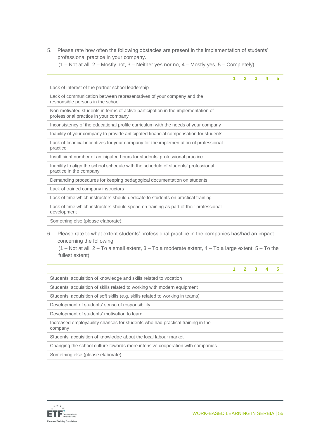5. Please rate how often the following obstacles are present in the implementation of students' professional practice in your company.

(1 – Not at all, 2 – Mostly not, 3 – Neither yes nor no, 4 – Mostly yes, 5 – Completely)

|                                                                                                                                                                                                                                                              | 1 | $\overline{2}$ | 3 | 4 | 5 |
|--------------------------------------------------------------------------------------------------------------------------------------------------------------------------------------------------------------------------------------------------------------|---|----------------|---|---|---|
| Lack of interest of the partner school leadership                                                                                                                                                                                                            |   |                |   |   |   |
| Lack of communication between representatives of your company and the<br>responsible persons in the school                                                                                                                                                   |   |                |   |   |   |
| Non-motivated students in terms of active participation in the implementation of<br>professional practice in your company                                                                                                                                    |   |                |   |   |   |
| Inconsistency of the educational profile curriculum with the needs of your company                                                                                                                                                                           |   |                |   |   |   |
| Inability of your company to provide anticipated financial compensation for students                                                                                                                                                                         |   |                |   |   |   |
| Lack of financial incentives for your company for the implementation of professional<br>practice                                                                                                                                                             |   |                |   |   |   |
| Insufficient number of anticipated hours for students' professional practice                                                                                                                                                                                 |   |                |   |   |   |
| Inability to align the school schedule with the schedule of students' professional<br>practice in the company                                                                                                                                                |   |                |   |   |   |
| Demanding procedures for keeping pedagogical documentation on students                                                                                                                                                                                       |   |                |   |   |   |
| Lack of trained company instructors                                                                                                                                                                                                                          |   |                |   |   |   |
| Lack of time which instructors should dedicate to students on practical training                                                                                                                                                                             |   |                |   |   |   |
| Lack of time which instructors should spend on training as part of their professional<br>development                                                                                                                                                         |   |                |   |   |   |
| Something else (please elaborate):                                                                                                                                                                                                                           |   |                |   |   |   |
| Please rate to what extent students' professional practice in the companies has/had an impact<br>6.<br>concerning the following:<br>$(1 - Not at all, 2 - To a small extent, 3 - To a moderate extent, 4 - To a large extent, 5 - To the$<br>fullest extent) |   |                |   |   |   |
|                                                                                                                                                                                                                                                              | 1 | $\overline{2}$ | 3 | 4 | 5 |

Students' acquisition of knowledge and skills related to vocation

Students' acquisition of skills related to working with modern equipment

Students' acquisition of soft skills (e.g. skills related to working in teams)

Development of students' sense of responsibility

Development of students' motivation to learn

Increased employability chances for students who had practical training in the company

Students' acquisition of knowledge about the local labour market

Changing the school culture towards more intensive cooperation with companies

Something else (please elaborate):

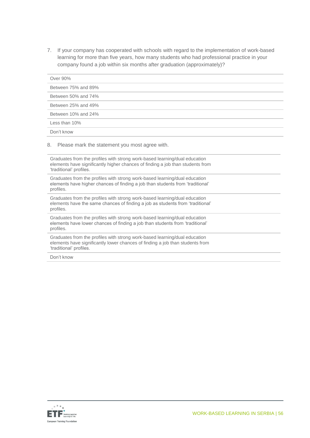7. If your company has cooperated with schools with regard to the implementation of work-based learning for more than five years, how many students who had professional practice in your company found a job within six months after graduation (approximately)?

| Over 90%                                                                                                                                                                                |
|-----------------------------------------------------------------------------------------------------------------------------------------------------------------------------------------|
| Between 75% and 89%                                                                                                                                                                     |
| Between 50% and 74%                                                                                                                                                                     |
| Between 25% and 49%                                                                                                                                                                     |
| Between 10% and 24%                                                                                                                                                                     |
| Less than 10%                                                                                                                                                                           |
| Don't know                                                                                                                                                                              |
| 8.<br>Please mark the statement you most agree with.                                                                                                                                    |
| Graduates from the profiles with strong work-based learning/dual education<br>elements have significantly higher chances of finding a job than students from<br>'traditional' profiles. |
| Graduates from the profiles with strong work-based learning/dual education<br>elements have higher chances of finding a job than students from 'traditional'<br>profiles.               |
| Graduates from the profiles with strong work-based learning/dual education<br>elements have the same chances of finding a job as students from 'traditional'<br>profiles.               |
| Graduates from the profiles with strong work-based learning/dual education<br>elements have lower chances of finding a job than students from 'traditional'<br>profiles.                |
| Graduates from the profiles with strong work-based learning/dual education<br>elements have significantly lower chances of finding a job than students from<br>'traditional' profiles.  |
| Don't know                                                                                                                                                                              |

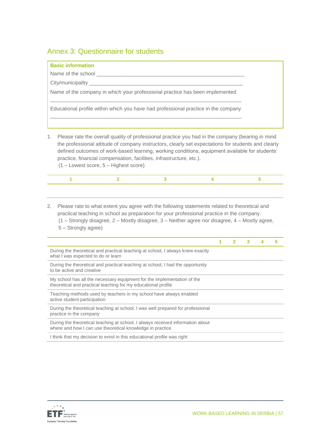### <span id="page-56-0"></span>Annex 3: Questionnaire for students

| <b>Basic information</b>                                                           |
|------------------------------------------------------------------------------------|
|                                                                                    |
|                                                                                    |
| Name of the company in which your professional practice has been implemented       |
| Educational profile within which you have had professional practice in the company |
|                                                                                    |

- 1. Please rate the overall quality of professional practice you had in the company (bearing in mind the professional attitude of company instructors, clearly set expectations for students and clearly defined outcomes of work-based learning, working conditions, equipment available for students' practice, financial compensation, facilities, infrastructure, etc.).
	- (1 Lowest score, 5 Highest score)

2. Please rate to what extent you agree with the following statements related to theoretical and practical teaching in school as preparation for your professional practice in the company. (1 – Strongly disagree, 2 – Mostly disagree, 3 – Neither agree nor disagree, 4 – Mostly agree, 5 – Strongly agree)

|                                                                                                                                             |  | 3 |  |
|---------------------------------------------------------------------------------------------------------------------------------------------|--|---|--|
| During the theoretical and practical teaching at school, I always knew exactly<br>what I was expected to do or learn                        |  |   |  |
| During the theoretical and practical teaching at school, I had the opportunity<br>to be active and creative                                 |  |   |  |
| My school has all the necessary equipment for the implementation of the<br>theoretical and practical teaching for my educational profile    |  |   |  |
| Teaching methods used by teachers in my school have always enabled<br>active student participation                                          |  |   |  |
| During the theoretical teaching at school, I was well prepared for professional<br>practice in the company                                  |  |   |  |
| During the theoretical teaching at school, I always received information about<br>where and how I can use theoretical knowledge in practice |  |   |  |
| I think that my decision to enrol in this educational profile was right                                                                     |  |   |  |

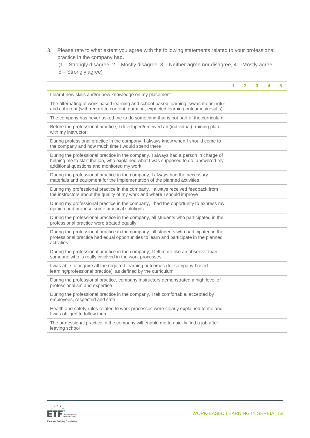3. Please rate to what extent you agree with the following statements related to your professional practice in the company had.

(1 – Strongly disagree, 2 – Mostly disagree, 3 – Neither agree nor disagree, 4 – Mostly agree, 5 – Strongly agree)

|                                                                                                                                                                                                                        | 1 | $\overline{2}$ | 3 | 4 | 5 |
|------------------------------------------------------------------------------------------------------------------------------------------------------------------------------------------------------------------------|---|----------------|---|---|---|
| I learnt new skills and/or new knowledge on my placement                                                                                                                                                               |   |                |   |   |   |
| The alternating of work-based learning and school-based learning is/was meaningful<br>and coherent (with regard to content, duration, expected learning outcomes/results)                                              |   |                |   |   |   |
| The company has never asked me to do something that is not part of the curriculum                                                                                                                                      |   |                |   |   |   |
| Before the professional practice, I developed/received an (individual) training plan<br>with my instructor                                                                                                             |   |                |   |   |   |
| During professional practice in the company, I always knew when I should come to<br>the company and how much time I would spend there                                                                                  |   |                |   |   |   |
| During the professional practice in the company, I always had a person in charge of<br>helping me to start the job, who explained what I was supposed to do, answered my<br>additional questions and monitored my work |   |                |   |   |   |
| During the professional practice in the company, I always had the necessary<br>materials and equipment for the implementation of the planned activities                                                                |   |                |   |   |   |
| During my professional practice in the company, I always received feedback from<br>the instructors about the quality of my work and where I should improve                                                             |   |                |   |   |   |
| During my professional practice in the company, I had the opportunity to express my<br>opinion and propose some practical solutions                                                                                    |   |                |   |   |   |
| During the professional practice in the company, all students who participated in the<br>professional practice were treated equally                                                                                    |   |                |   |   |   |
| During the professional practice in the company, all students who participated in the<br>professional practice had equal opportunities to learn and participate in the planned<br>activities                           |   |                |   |   |   |
| During the professional practice in the company, I felt more like an observer than<br>someone who is really involved in the work processes                                                                             |   |                |   |   |   |
| I was able to acquire all the required learning outcomes (for company-based<br>learning/professional practice), as defined by the curriculum                                                                           |   |                |   |   |   |
| During the professional practice, company instructors demonstrated a high level of<br>professionalism and expertise                                                                                                    |   |                |   |   |   |
| During the professional practice in the company, I felt comfortable, accepted by<br>employees, respected and safe                                                                                                      |   |                |   |   |   |
| Health and safety rules related to work processes were clearly explained to me and<br>I was obliged to follow them                                                                                                     |   |                |   |   |   |
| The professional practice in the company will enable me to quickly find a job after<br>leaving school                                                                                                                  |   |                |   |   |   |

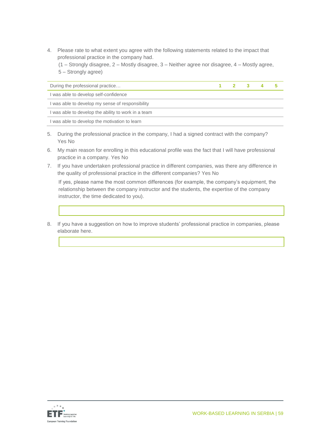4. Please rate to what extent you agree with the following statements related to the impact that professional practice in the company had.

(1 – Strongly disagree, 2 – Mostly disagree, 3 – Neither agree nor disagree, 4 – Mostly agree, 5 – Strongly agree)

| During the professional practice                    |  |  |  |
|-----------------------------------------------------|--|--|--|
| I was able to develop self-confidence               |  |  |  |
| I was able to develop my sense of responsibility    |  |  |  |
| I was able to develop the ability to work in a team |  |  |  |
| I was able to develop the motivation to learn       |  |  |  |

- 5. During the professional practice in the company, I had a signed contract with the company? Yes No
- 6. My main reason for enrolling in this educational profile was the fact that I will have professional practice in a company. Yes No
- 7. If you have undertaken professional practice in different companies, was there any difference in the quality of professional practice in the different companies? Yes No

If yes, please name the most common differences (for example, the company's equipment, the relationship between the company instructor and the students, the expertise of the company instructor, the time dedicated to you).

8. If you have a suggestion on how to improve students' professional practice in companies, please elaborate here.

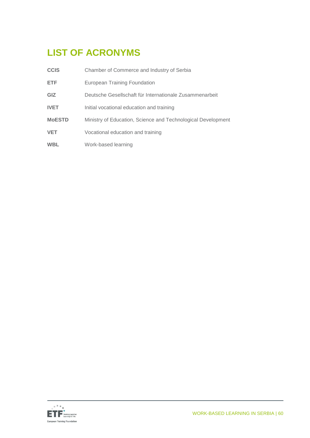# <span id="page-59-0"></span>**LIST OF ACRONYMS**

| <b>CCIS</b>   | Chamber of Commerce and Industry of Serbia                   |
|---------------|--------------------------------------------------------------|
| <b>ETF</b>    | European Training Foundation                                 |
| GIZ           | Deutsche Gesellschaft für Internationale Zusammenarbeit      |
| <b>IVET</b>   | Initial vocational education and training                    |
| <b>MoESTD</b> | Ministry of Education, Science and Technological Development |
| <b>VET</b>    | Vocational education and training                            |
| <b>WBL</b>    | Work-based learning                                          |

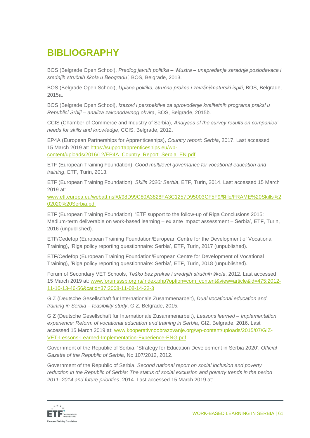# <span id="page-60-0"></span>**BIBLIOGRAPHY**

BOS (Belgrade Open School), *Predlog javnih politika – 'Mustra – unapređenje saradnje poslodavaca i srednjih stručnih škola u Beogradu'*, BOS, Belgrade, 2013.

BOS (Belgrade Open School), *Upisna politika, stručne prakse i završni/maturski ispiti*, BOS, Belgrade, 2015a.

BOS (Belgrade Open School), *Izаzovi i perspektive zа sprovođenje kvаlitetnih progrаmа prаksi u Republici Srbiji – аnаlizа zаkonodаvnog okvirа*, BOS, Belgrade, 2015b.

CCIS (Chamber of Commerce and Industry of Serbia), *Analyses of the survey results on companies' needs for skills and knowledge*, CCIS, Belgrade, 2012.

EP4A (European Partnerships for Apprenticeships), *Country report: Serbia*, 2017. Last accessed 15 March 2019 at: [https://supportapprenticeships.eu/wp](https://supportapprenticeships.eu/wp-content/uploads/2016/12/EP4A_Country_Report_Serbia_EN.pdf)[content/uploads/2016/12/EP4A\\_Country\\_Report\\_Serbia\\_EN.pdf](https://supportapprenticeships.eu/wp-content/uploads/2016/12/EP4A_Country_Report_Serbia_EN.pdf)

ETF (European Training Foundation), *Good multilevel governance for vocational education and training*, ETF, Turin, 2013.

ETF (European Training Foundation), *Skills 2020: Serbia*, ETF, Turin, 2014. Last accessed 15 March 2019 at:

[www.etf.europa.eu/webatt.nsf/0/98D99C80A3828FA3C1257D95003CF5F9/\\$file/FRAME%20Skills%2](http://www.etf.europa.eu/webatt.nsf/0/98D99C80A3828FA3C1257D95003CF5F9/$file/FRAME%20Skills%202020%20Serbia.pdf) [02020%20Serbia.pdf](http://www.etf.europa.eu/webatt.nsf/0/98D99C80A3828FA3C1257D95003CF5F9/$file/FRAME%20Skills%202020%20Serbia.pdf)

ETF (European Training Foundation), 'ETF support to the follow-up of Riga Conclusions 2015: Medium-term deliverable on work-based learning – ex ante impact assessment – Serbia', ETF, Turin, 2016 (unpublished).

ETF/Cedefop (European Training Foundation/European Centre for the Development of Vocational Training), 'Riga policy reporting questionnaire: Serbia', ETF, Turin, 2017 (unpublished).

ETF/Cedefop (European Training Foundation/European Centre for Development of Vocational Training), 'Riga policy reporting questionnaire: Serbia', ETF, Turin, 2018 (unpublished).

Forum of Secondary VET Schools, *Teško bez prakse i srednjih stručnih škola*, 2012. Last accessed 15 March 2019 at: [www.forumsssb.org.rs/index.php?option=com\\_content&view=article&id=475:2012-](http://www.forumsssb.org.rs/index.php?option=com_content&view=article&id=475:2012-11-10-13-46-56&catid=37:2008-11-08-14-22-3) [11-10-13-46-56&catid=37:2008-11-08-14-22-3](http://www.forumsssb.org.rs/index.php?option=com_content&view=article&id=475:2012-11-10-13-46-56&catid=37:2008-11-08-14-22-3)

GIZ (Deutsche Gesellschaft für Internationale Zusammenarbeit), *Dual vocational education and training in Serbia – feasibility study*, GIZ, Belgrade, 2015.

GIZ (Deutsche Gesellschaft für Internationale Zusammenarbeit), *Lessons learned – Implementation experience: Reform of vocational education and training in Serbia*, GIZ, Belgrade, 2016. Last accessed 15 March 2019 at: [www.kooperativnoobrazovanje.org/wp-content/uploads/2015/07/GIZ-](http://www.kooperativnoobrazovanje.org/wp-content/uploads/2015/07/GIZ-VET-Lessons-Learned-Implementation-Experience-ENG.pdf)[VET-Lessons-Learned-Implementation-Experience-ENG.pdf](http://www.kooperativnoobrazovanje.org/wp-content/uploads/2015/07/GIZ-VET-Lessons-Learned-Implementation-Experience-ENG.pdf)

Government of the Republic of Serbia, 'Strategy for Education Development in Serbia 2020', *Official Gazette of the Republic of Serbia*, No 107/2012, 2012.

Government of the Republic of Serbia, *Second national report on social inclusion and poverty reduction in the Republic of Serbia: The status of social exclusion and poverty trends in the period 2011–2014 and future priorities*, 2014*.* Last accessed 15 March 2019 at:

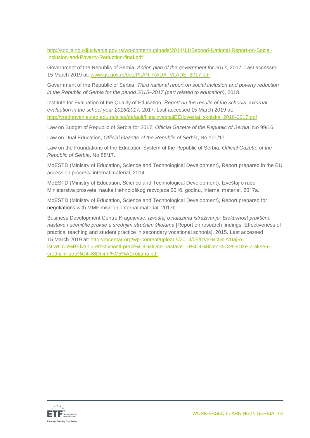[http://socijalnoukljucivanje.gov.rs/wp-content/uploads/2014/11/Second-National-Report-on-Social-](http://socijalnoukljucivanje.gov.rs/wp-content/uploads/2014/11/Second-National-Report-on-Social-Inclusion-and-Poverty-Reduction-final.pdf)[Inclusion-and-Poverty-Reduction-final.pdf](http://socijalnoukljucivanje.gov.rs/wp-content/uploads/2014/11/Second-National-Report-on-Social-Inclusion-and-Poverty-Reduction-final.pdf)

Government of the Republic of Serbia, *Action plan of the government for 2017*, 2017. Last accessed 15 March 2019 at: [www.gs.gov.rs/doc/PLAN\\_RADA\\_VLADE\\_2017.pdf](http://www.gs.gov.rs/doc/PLAN_RADA_VLADE_2017.pdf)

Government of the Republic of Serbia, *Third national report on social inclusion and poverty reduction in the Republic of Serbia for the period 2015–2017 (part related to education)*, 2018.

Institute for Evaluation of the Quality of Education, *Report on the results of the schools' external evaluation in the school year 2016/2017,* 2017. Last accessed 15 March 2019 at: [http://vrednovanje.ceo.edu.rs/sites/default/files/izvestajiEE/Izvestaj\\_skolska\\_2016-2017.pdf](http://vrednovanje.ceo.edu.rs/sites/default/files/izvestajiEE/Izvestaj_skolska_2016-2017.pdf)

Law on Budget of Republic of Serbia for 2017, *Official Gazette of the Republic of Serbia*, No 99/16.

Law on Dual Education, *Official Gazette of the Republic of Serbia*, No 101/17.

Law on the Foundations of the Education System of the Republic of Serbia, *Official Gazette of the Republic of Serbia*, No 88/17.

MoESTD (Ministry of Education, Science and Technological Development), Report prepared in the EU accession process, internal material, 2014*.*

MoESTD (Ministry of Education, Science and Technological Development), Izveštaj o radu Ministarstva prosvete, nauke i tehnološkog razvojaza 2016. godinu, internal material, 2017a*.*

MoESTD (Ministry of Education, Science and Technological Development), Report prepared for negotiations with MMF mission, internal material, 2017b.

Business Development Centre Kragujevac, *Izveštaj o nalazima istraživanja: Efektivnost praktične nastave i učeničke prakse u srednjim stručnim školama* [Report on research findings: Effectiveness of practical teaching and student practice in secondary vocational schools], 2015. Last accessed 15 March 2019 at: [http://rbcentar.org/wp-content/uploads/2014/05/Izve%C5%A1taj-o](http://rbcentar.org/wp-content/uploads/2014/05/Izve%C5%A1taj-o-istra%C5%BEivanju-efektivnosti-praki%C4%8Dne-nastave-i-u%C4%8Deni%C4%8Dke-prakse-u-srednjim-stru%C4%8Dnim-%C5%A1kolama.pdf)[istra%C5%BEivanju-efektivnosti-praki%C4%8Dne-nastave-i-u%C4%8Deni%C4%8Dke-prakse-u](http://rbcentar.org/wp-content/uploads/2014/05/Izve%C5%A1taj-o-istra%C5%BEivanju-efektivnosti-praki%C4%8Dne-nastave-i-u%C4%8Deni%C4%8Dke-prakse-u-srednjim-stru%C4%8Dnim-%C5%A1kolama.pdf)[srednjim-stru%C4%8Dnim-%C5%A1kolama.pdf](http://rbcentar.org/wp-content/uploads/2014/05/Izve%C5%A1taj-o-istra%C5%BEivanju-efektivnosti-praki%C4%8Dne-nastave-i-u%C4%8Deni%C4%8Dke-prakse-u-srednjim-stru%C4%8Dnim-%C5%A1kolama.pdf)